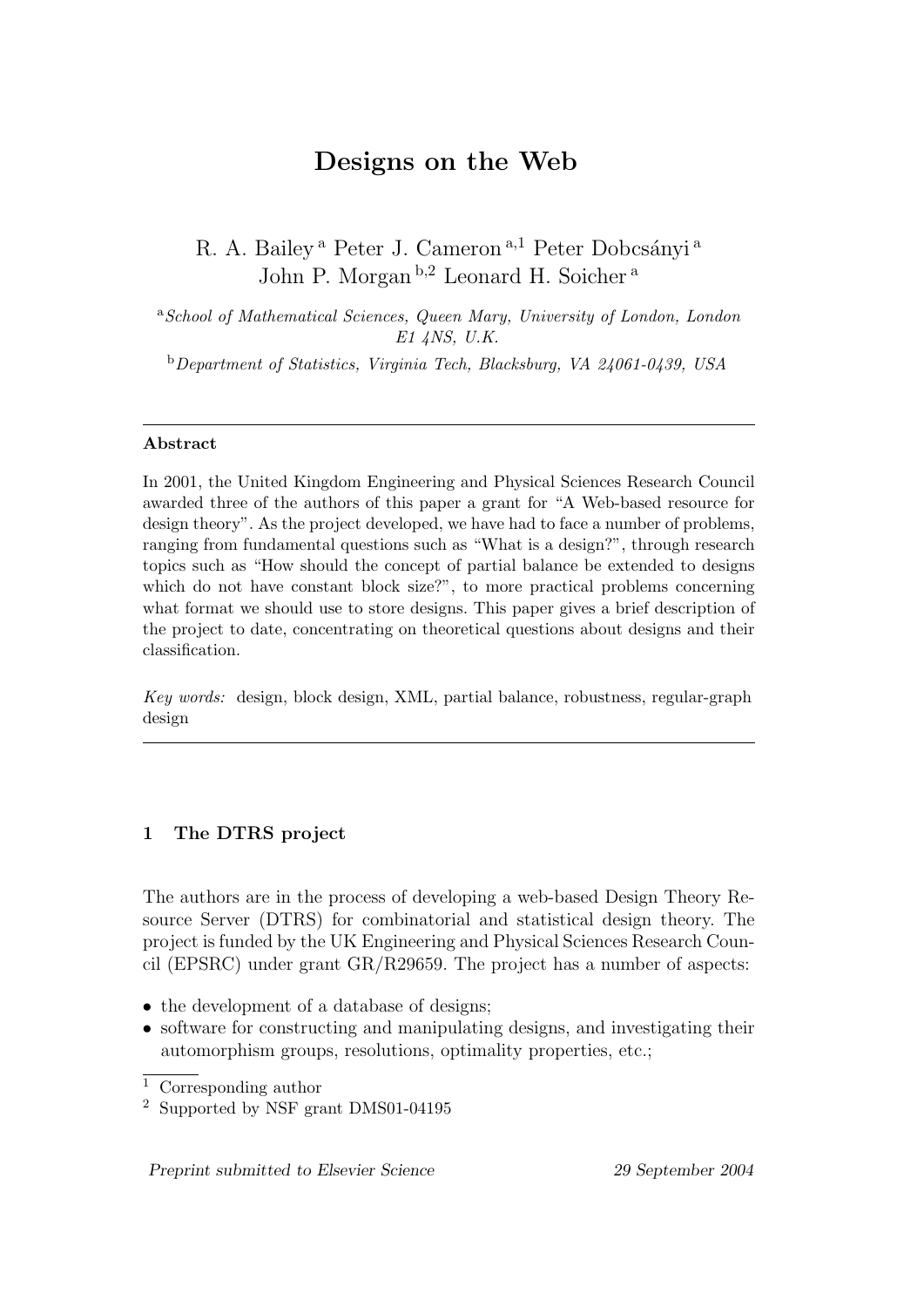# Designs on the Web

R. A. Bailey<sup>a</sup> Peter J. Cameron<sup>a,1</sup> Peter Dobcsányi<sup>a</sup> John P. Morgan <sup>b</sup>,<sup>2</sup> Leonard H. Soicher <sup>a</sup>

<sup>a</sup>School of Mathematical Sciences, Queen Mary, University of London, London E1 4NS, U.K.

<sup>b</sup>Department of Statistics, Virginia Tech, Blacksburg, VA 24061-0439, USA

## Abstract

In 2001, the United Kingdom Engineering and Physical Sciences Research Council awarded three of the authors of this paper a grant for "A Web-based resource for design theory". As the project developed, we have had to face a number of problems, ranging from fundamental questions such as "What is a design?", through research topics such as "How should the concept of partial balance be extended to designs which do not have constant block size?", to more practical problems concerning what format we should use to store designs. This paper gives a brief description of the project to date, concentrating on theoretical questions about designs and their classification.

Key words: design, block design, XML, partial balance, robustness, regular-graph design

# 1 The DTRS project

The authors are in the process of developing a web-based Design Theory Resource Server (DTRS) for combinatorial and statistical design theory. The project is funded by the UK Engineering and Physical Sciences Research Council (EPSRC) under grant GR/R29659. The project has a number of aspects:

- the development of a database of designs;
- software for constructing and manipulating designs, and investigating their automorphism groups, resolutions, optimality properties, etc.;

Preprint submitted to Elsevier Science 29 September 2004

 $\overline{1}$  Corresponding author

<sup>2</sup> Supported by NSF grant DMS01-04195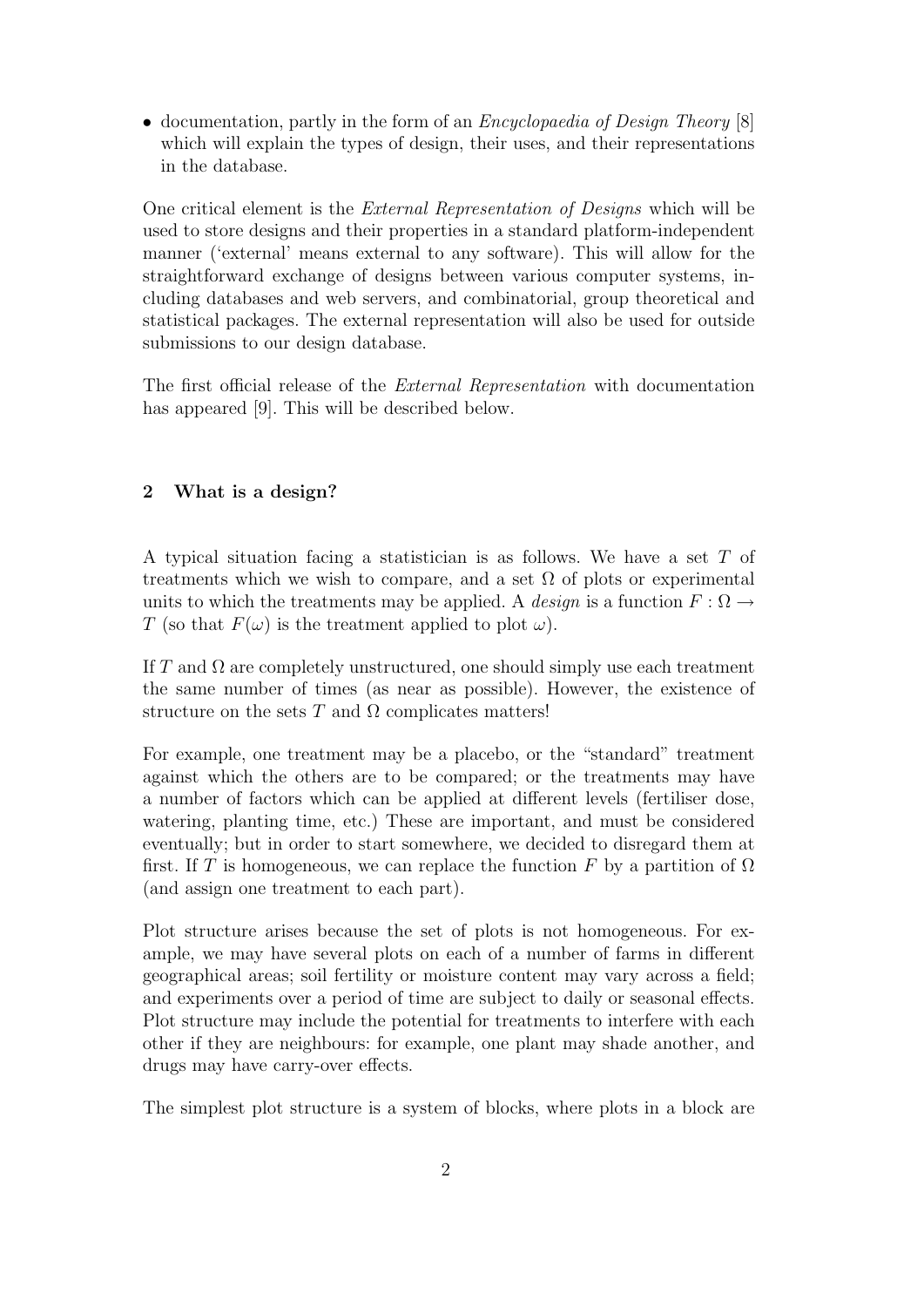• documentation, partly in the form of an *Encyclopaedia of Design Theory* [8] which will explain the types of design, their uses, and their representations in the database.

One critical element is the External Representation of Designs which will be used to store designs and their properties in a standard platform-independent manner ('external' means external to any software). This will allow for the straightforward exchange of designs between various computer systems, including databases and web servers, and combinatorial, group theoretical and statistical packages. The external representation will also be used for outside submissions to our design database.

The first official release of the External Representation with documentation has appeared [9]. This will be described below.

# 2 What is a design?

A typical situation facing a statistician is as follows. We have a set T of treatments which we wish to compare, and a set  $\Omega$  of plots or experimental units to which the treatments may be applied. A design is a function  $F : \Omega \to$ T (so that  $F(\omega)$  is the treatment applied to plot  $\omega$ ).

If T and  $\Omega$  are completely unstructured, one should simply use each treatment the same number of times (as near as possible). However, the existence of structure on the sets T and  $\Omega$  complicates matters!

For example, one treatment may be a placebo, or the "standard" treatment against which the others are to be compared; or the treatments may have a number of factors which can be applied at different levels (fertiliser dose, watering, planting time, etc.) These are important, and must be considered eventually; but in order to start somewhere, we decided to disregard them at first. If T is homogeneous, we can replace the function F by a partition of  $\Omega$ (and assign one treatment to each part).

Plot structure arises because the set of plots is not homogeneous. For example, we may have several plots on each of a number of farms in different geographical areas; soil fertility or moisture content may vary across a field; and experiments over a period of time are subject to daily or seasonal effects. Plot structure may include the potential for treatments to interfere with each other if they are neighbours: for example, one plant may shade another, and drugs may have carry-over effects.

The simplest plot structure is a system of blocks, where plots in a block are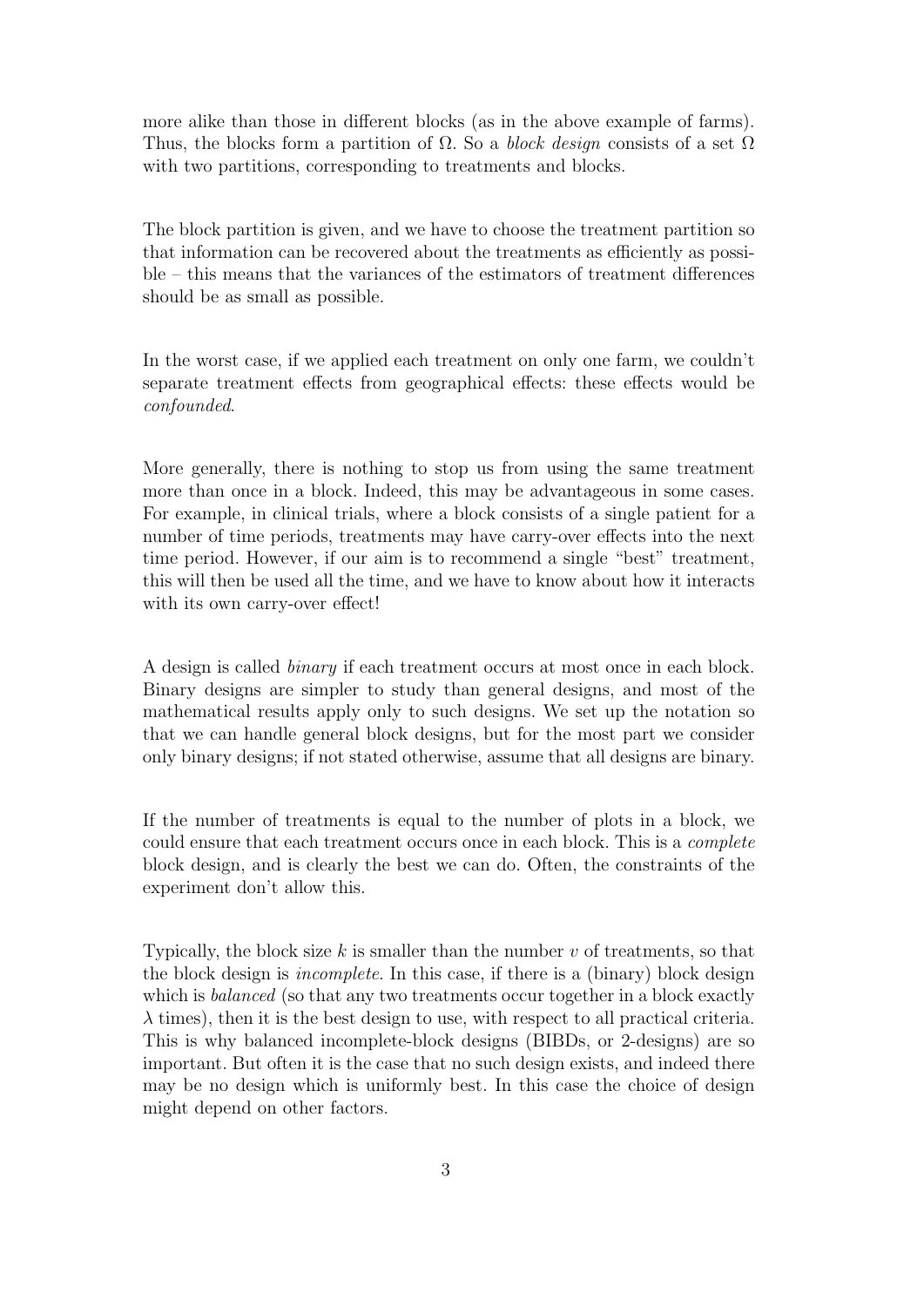more alike than those in different blocks (as in the above example of farms). Thus, the blocks form a partition of  $\Omega$ . So a *block design* consists of a set  $\Omega$ with two partitions, corresponding to treatments and blocks.

The block partition is given, and we have to choose the treatment partition so that information can be recovered about the treatments as efficiently as possible – this means that the variances of the estimators of treatment differences should be as small as possible.

In the worst case, if we applied each treatment on only one farm, we couldn't separate treatment effects from geographical effects: these effects would be confounded.

More generally, there is nothing to stop us from using the same treatment more than once in a block. Indeed, this may be advantageous in some cases. For example, in clinical trials, where a block consists of a single patient for a number of time periods, treatments may have carry-over effects into the next time period. However, if our aim is to recommend a single "best" treatment, this will then be used all the time, and we have to know about how it interacts with its own carry-over effect!

A design is called binary if each treatment occurs at most once in each block. Binary designs are simpler to study than general designs, and most of the mathematical results apply only to such designs. We set up the notation so that we can handle general block designs, but for the most part we consider only binary designs; if not stated otherwise, assume that all designs are binary.

If the number of treatments is equal to the number of plots in a block, we could ensure that each treatment occurs once in each block. This is a complete block design, and is clearly the best we can do. Often, the constraints of the experiment don't allow this.

Typically, the block size k is smaller than the number  $v$  of treatments, so that the block design is incomplete. In this case, if there is a (binary) block design which is *balanced* (so that any two treatments occur together in a block exactly  $\lambda$  times), then it is the best design to use, with respect to all practical criteria. This is why balanced incomplete-block designs (BIBDs, or 2-designs) are so important. But often it is the case that no such design exists, and indeed there may be no design which is uniformly best. In this case the choice of design might depend on other factors.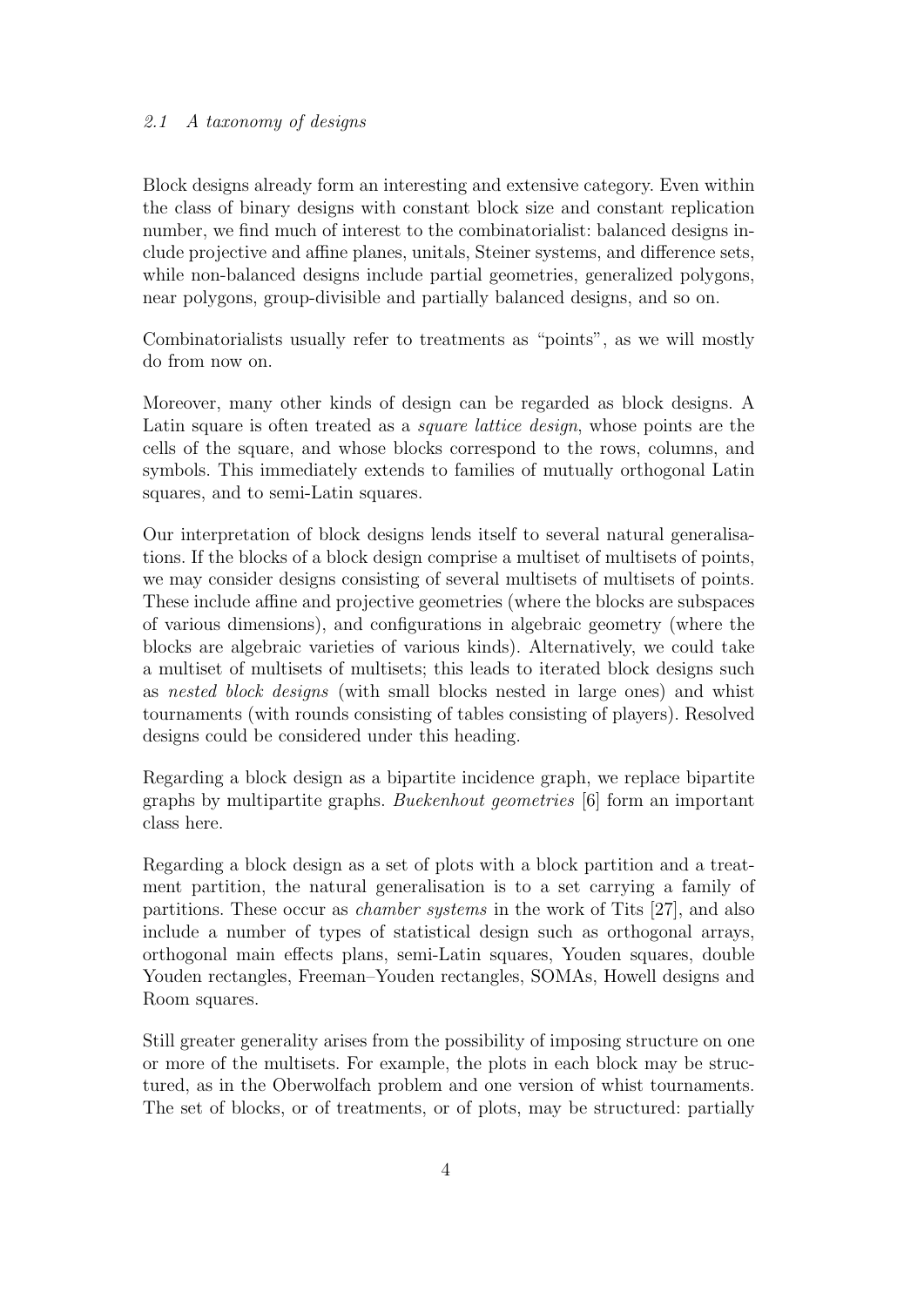## 2.1 A taxonomy of designs

Block designs already form an interesting and extensive category. Even within the class of binary designs with constant block size and constant replication number, we find much of interest to the combinatorialist: balanced designs include projective and affine planes, unitals, Steiner systems, and difference sets, while non-balanced designs include partial geometries, generalized polygons, near polygons, group-divisible and partially balanced designs, and so on.

Combinatorialists usually refer to treatments as "points", as we will mostly do from now on.

Moreover, many other kinds of design can be regarded as block designs. A Latin square is often treated as a square lattice design, whose points are the cells of the square, and whose blocks correspond to the rows, columns, and symbols. This immediately extends to families of mutually orthogonal Latin squares, and to semi-Latin squares.

Our interpretation of block designs lends itself to several natural generalisations. If the blocks of a block design comprise a multiset of multisets of points, we may consider designs consisting of several multisets of multisets of points. These include affine and projective geometries (where the blocks are subspaces of various dimensions), and configurations in algebraic geometry (where the blocks are algebraic varieties of various kinds). Alternatively, we could take a multiset of multisets of multisets; this leads to iterated block designs such as nested block designs (with small blocks nested in large ones) and whist tournaments (with rounds consisting of tables consisting of players). Resolved designs could be considered under this heading.

Regarding a block design as a bipartite incidence graph, we replace bipartite graphs by multipartite graphs. Buekenhout geometries [6] form an important class here.

Regarding a block design as a set of plots with a block partition and a treatment partition, the natural generalisation is to a set carrying a family of partitions. These occur as chamber systems in the work of Tits [27], and also include a number of types of statistical design such as orthogonal arrays, orthogonal main effects plans, semi-Latin squares, Youden squares, double Youden rectangles, Freeman–Youden rectangles, SOMAs, Howell designs and Room squares.

Still greater generality arises from the possibility of imposing structure on one or more of the multisets. For example, the plots in each block may be structured, as in the Oberwolfach problem and one version of whist tournaments. The set of blocks, or of treatments, or of plots, may be structured: partially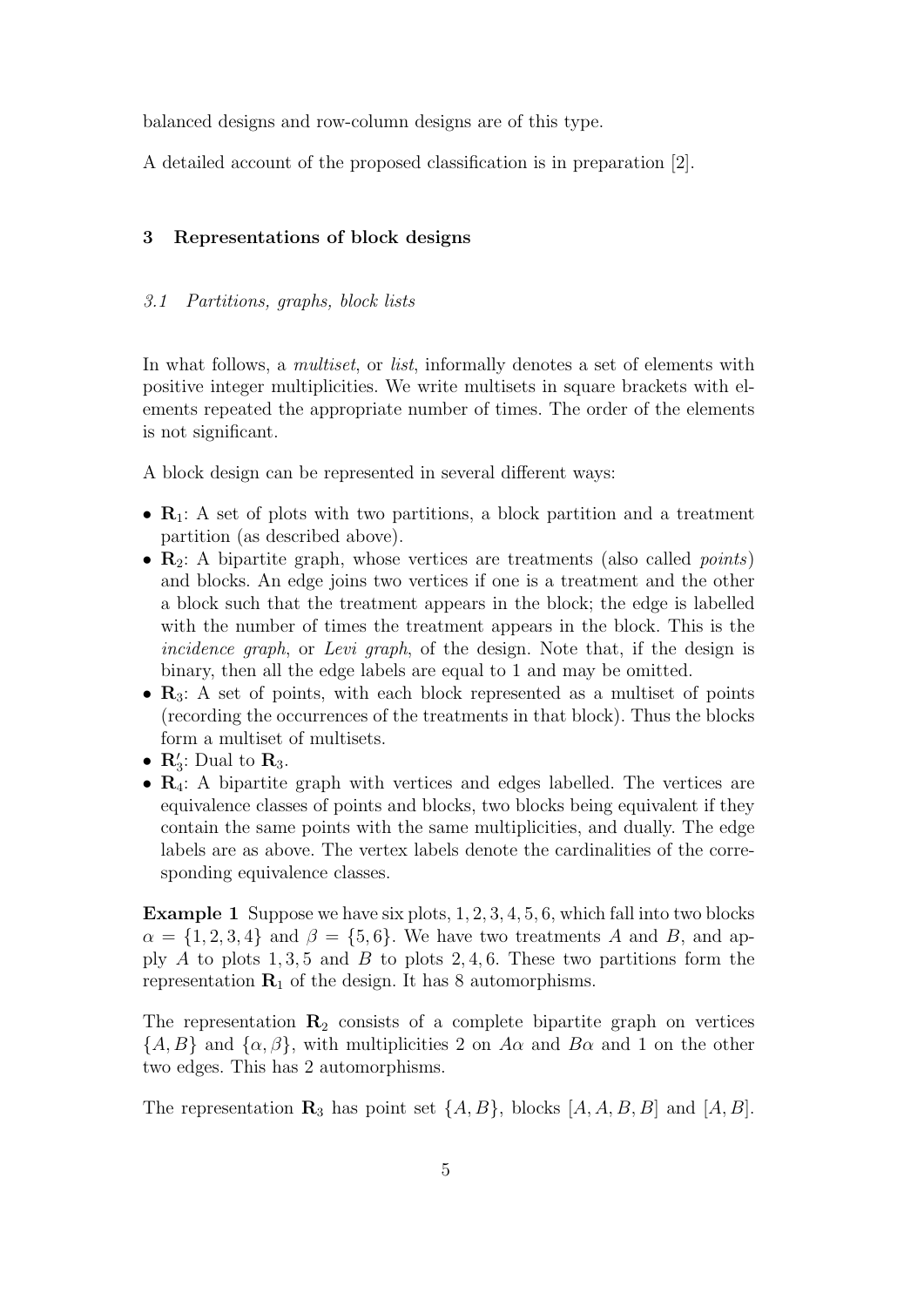balanced designs and row-column designs are of this type.

A detailed account of the proposed classification is in preparation [2].

## 3 Representations of block designs

## 3.1 Partitions, graphs, block lists

In what follows, a multiset, or list, informally denotes a set of elements with positive integer multiplicities. We write multisets in square brackets with elements repeated the appropriate number of times. The order of the elements is not significant.

A block design can be represented in several different ways:

- $\mathbf{R}_1$ : A set of plots with two partitions, a block partition and a treatment partition (as described above).
- $\mathbf{R}_2$ : A bipartite graph, whose vertices are treatments (also called *points*) and blocks. An edge joins two vertices if one is a treatment and the other a block such that the treatment appears in the block; the edge is labelled with the number of times the treatment appears in the block. This is the incidence graph, or Levi graph, of the design. Note that, if the design is binary, then all the edge labels are equal to 1 and may be omitted.
- $\mathbf{R}_3$ : A set of points, with each block represented as a multiset of points (recording the occurrences of the treatments in that block). Thus the blocks form a multiset of multisets.
- $\mathbf{R}'_3$ : Dual to  $\mathbf{R}_3$ .
- $\mathbf{R}_4$ : A bipartite graph with vertices and edges labelled. The vertices are equivalence classes of points and blocks, two blocks being equivalent if they contain the same points with the same multiplicities, and dually. The edge labels are as above. The vertex labels denote the cardinalities of the corresponding equivalence classes.

**Example 1** Suppose we have six plots,  $1, 2, 3, 4, 5, 6$ , which fall into two blocks  $\alpha = \{1, 2, 3, 4\}$  and  $\beta = \{5, 6\}$ . We have two treatments A and B, and apply A to plots  $1, 3, 5$  and B to plots  $2, 4, 6$ . These two partitions form the representation  $\mathbf{R}_1$  of the design. It has 8 automorphisms.

The representation  $\mathbf{R}_2$  consists of a complete bipartite graph on vertices  $\{A, B\}$  and  $\{\alpha, \beta\}$ , with multiplicities 2 on  $A\alpha$  and  $B\alpha$  and 1 on the other two edges. This has 2 automorphisms.

The representation  $\mathbf{R}_3$  has point set  $\{A, B\}$ , blocks  $[A, A, B, B]$  and  $[A, B]$ .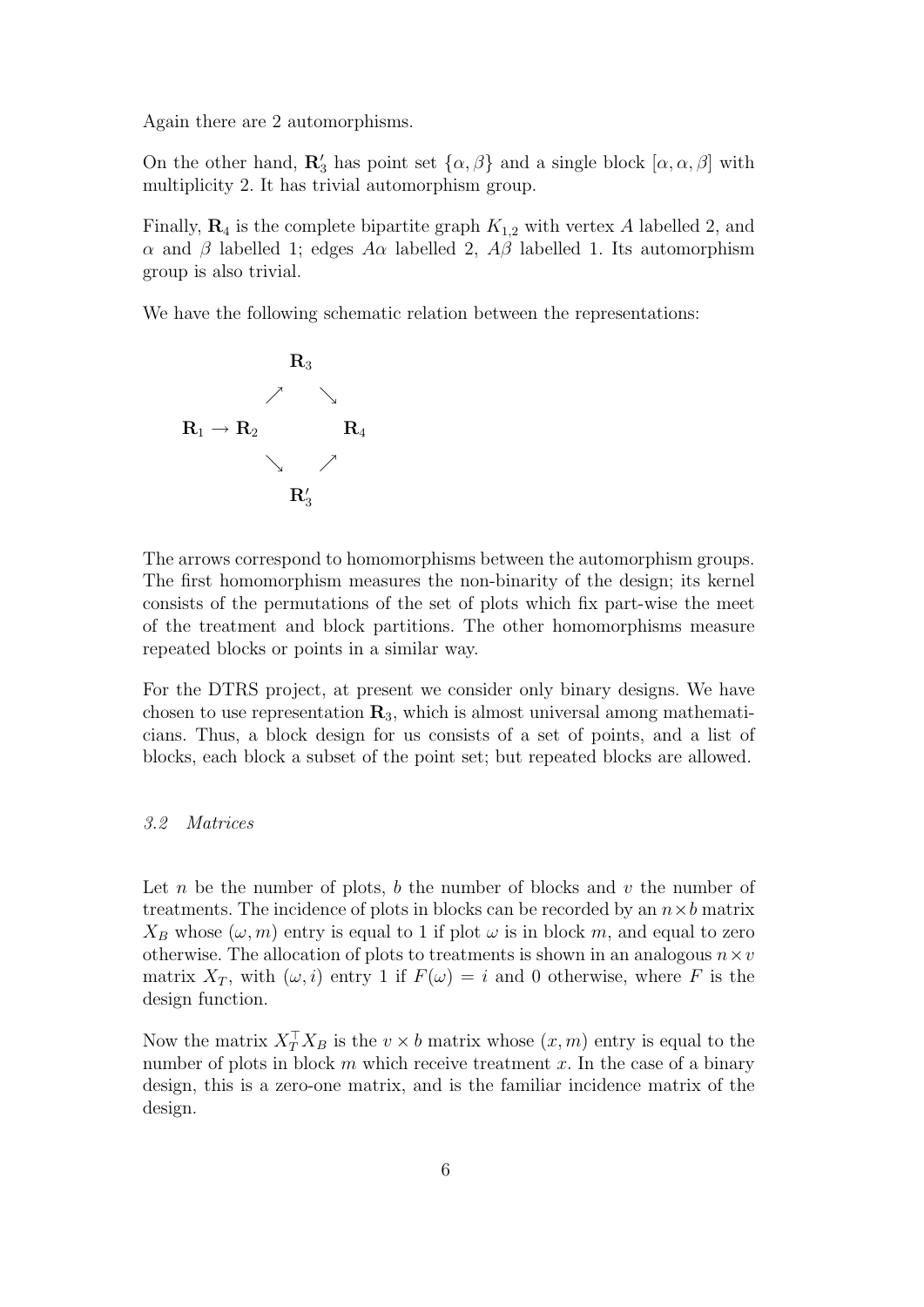Again there are 2 automorphisms.

On the other hand,  $\mathbf{R}'_3$  has point set  $\{\alpha, \beta\}$  and a single block  $[\alpha, \alpha, \beta]$  with multiplicity 2. It has trivial automorphism group.

Finally,  $\mathbf{R}_4$  is the complete bipartite graph  $K_{1,2}$  with vertex A labelled 2, and α and β labelled 1; edges  $A\alpha$  labelled 2,  $A\beta$  labelled 1. Its automorphism group is also trivial.

We have the following schematic relation between the representations:



The arrows correspond to homomorphisms between the automorphism groups. The first homomorphism measures the non-binarity of the design; its kernel consists of the permutations of the set of plots which fix part-wise the meet of the treatment and block partitions. The other homomorphisms measure repeated blocks or points in a similar way.

For the DTRS project, at present we consider only binary designs. We have chosen to use representation  $\mathbf{R}_3$ , which is almost universal among mathematicians. Thus, a block design for us consists of a set of points, and a list of blocks, each block a subset of the point set; but repeated blocks are allowed.

### 3.2 Matrices

Let n be the number of plots, b the number of blocks and v the number of treatments. The incidence of plots in blocks can be recorded by an  $n \times b$  matrix  $X_B$  whose  $(\omega, m)$  entry is equal to 1 if plot  $\omega$  is in block m, and equal to zero otherwise. The allocation of plots to treatments is shown in an analogous  $n \times v$ matrix  $X_T$ , with  $(\omega, i)$  entry 1 if  $F(\omega) = i$  and 0 otherwise, where F is the design function.

Now the matrix  $X_T^{\top} X_B$  is the  $v \times b$  matrix whose  $(x, m)$  entry is equal to the number of plots in block  $m$  which receive treatment  $x$ . In the case of a binary design, this is a zero-one matrix, and is the familiar incidence matrix of the design.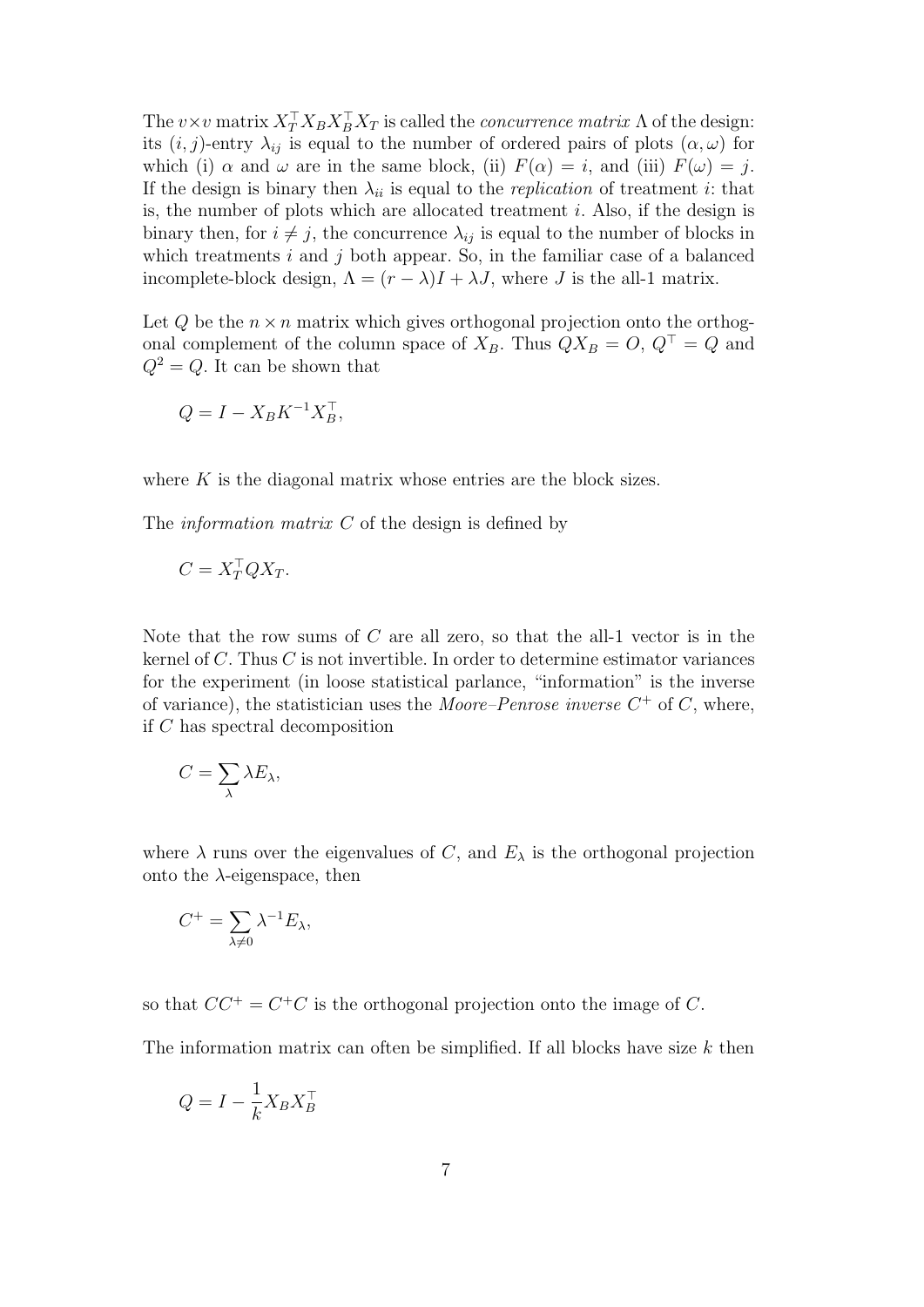The  $v \times v$  matrix  $X_T^{\top} X_B X_B^{\top} X_T$  is called the *concurrence matrix*  $\Lambda$  of the design: its  $(i, j)$ -entry  $\lambda_{ij}$  is equal to the number of ordered pairs of plots  $(\alpha, \omega)$  for which (i)  $\alpha$  and  $\omega$  are in the same block, (ii)  $F(\alpha) = i$ , and (iii)  $F(\omega) = j$ . If the design is binary then  $\lambda_{ii}$  is equal to the *replication* of treatment *i*: that is, the number of plots which are allocated treatment  $i$ . Also, if the design is binary then, for  $i \neq j$ , the concurrence  $\lambda_{ij}$  is equal to the number of blocks in which treatments  $i$  and  $j$  both appear. So, in the familiar case of a balanced incomplete-block design,  $\Lambda = (r - \lambda)I + \lambda J$ , where J is the all-1 matrix.

Let Q be the  $n \times n$  matrix which gives orthogonal projection onto the orthogonal complement of the column space of  $X_B$ . Thus  $QX_B = O$ ,  $Q^{\top} = Q$  and  $Q^2 = Q$ . It can be shown that

$$
Q = I - X_B K^{-1} X_B^{\top},
$$

where  $K$  is the diagonal matrix whose entries are the block sizes.

The *information matrix C* of the design is defined by

$$
C = X_T^\top Q X_T.
$$

Note that the row sums of  $C$  are all zero, so that the all-1 vector is in the kernel of  $C$ . Thus  $C$  is not invertible. In order to determine estimator variances for the experiment (in loose statistical parlance, "information" is the inverse of variance), the statistician uses the Moore–Penrose inverse  $C^+$  of C, where, if C has spectral decomposition

$$
C=\sum_{\lambda}\lambda E_{\lambda},
$$

where  $\lambda$  runs over the eigenvalues of C, and  $E_{\lambda}$  is the orthogonal projection onto the  $\lambda$ -eigenspace, then

$$
C^+ = \sum_{\lambda \neq 0} \lambda^{-1} E_{\lambda},
$$

so that  $CC^+ = C^+C$  is the orthogonal projection onto the image of C.

The information matrix can often be simplified. If all blocks have size  $k$  then

$$
Q = I - \frac{1}{k} X_B X_B^\top
$$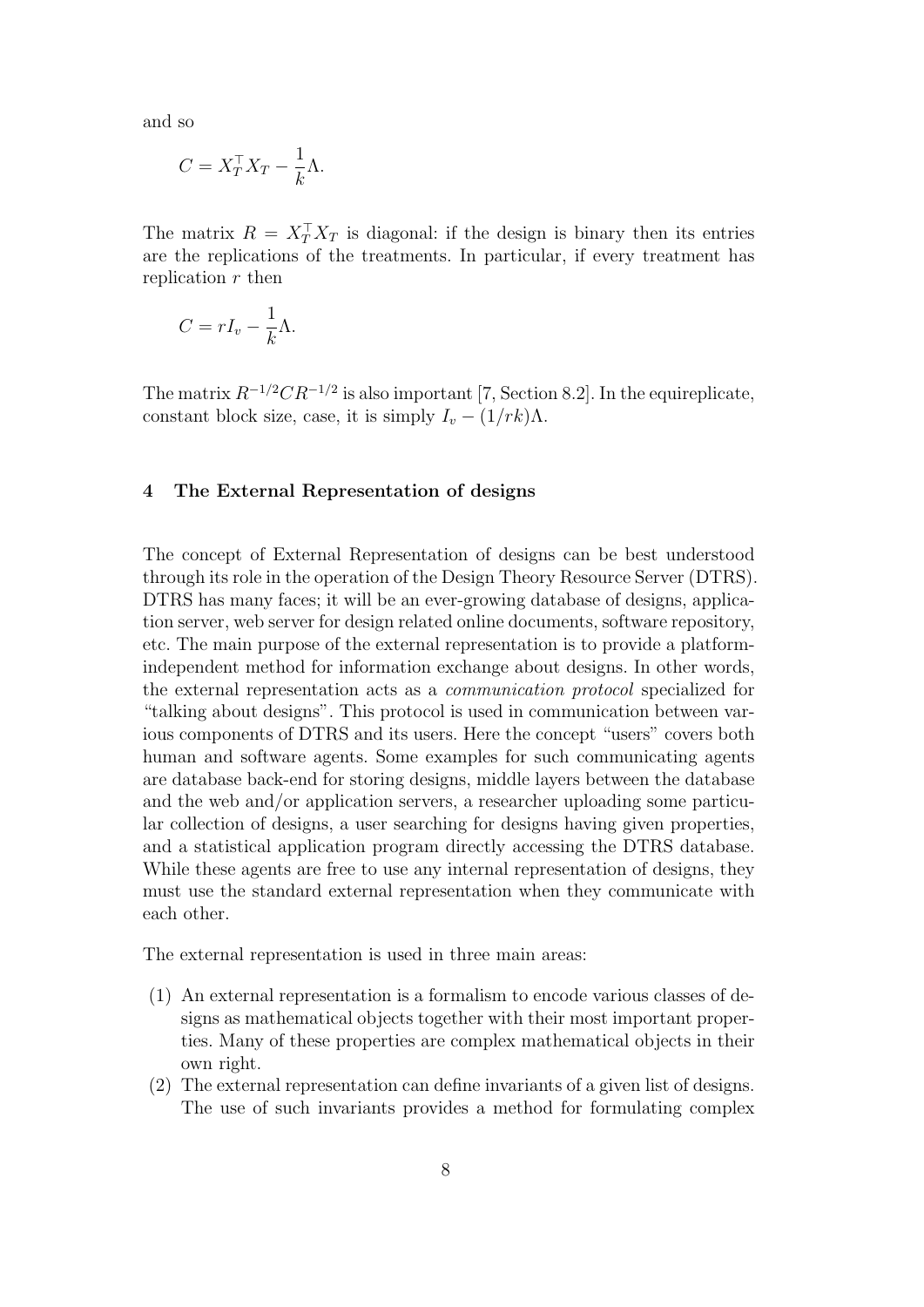and so

$$
C = X_T^\top X_T - \frac{1}{k}\Lambda.
$$

The matrix  $R = X_T^{\top} X_T$  is diagonal: if the design is binary then its entries are the replications of the treatments. In particular, if every treatment has replication  $r$  then

$$
C = rI_v - \frac{1}{k}\Lambda.
$$

The matrix  $R^{-1/2}CR^{-1/2}$  is also important [7, Section 8.2]. In the equireplicate, constant block size, case, it is simply  $I_v - (1/rk)\Lambda$ .

#### 4 The External Representation of designs

The concept of External Representation of designs can be best understood through its role in the operation of the Design Theory Resource Server (DTRS). DTRS has many faces; it will be an ever-growing database of designs, application server, web server for design related online documents, software repository, etc. The main purpose of the external representation is to provide a platformindependent method for information exchange about designs. In other words, the external representation acts as a communication protocol specialized for "talking about designs". This protocol is used in communication between various components of DTRS and its users. Here the concept "users" covers both human and software agents. Some examples for such communicating agents are database back-end for storing designs, middle layers between the database and the web and/or application servers, a researcher uploading some particular collection of designs, a user searching for designs having given properties, and a statistical application program directly accessing the DTRS database. While these agents are free to use any internal representation of designs, they must use the standard external representation when they communicate with each other.

The external representation is used in three main areas:

- (1) An external representation is a formalism to encode various classes of designs as mathematical objects together with their most important properties. Many of these properties are complex mathematical objects in their own right.
- (2) The external representation can define invariants of a given list of designs. The use of such invariants provides a method for formulating complex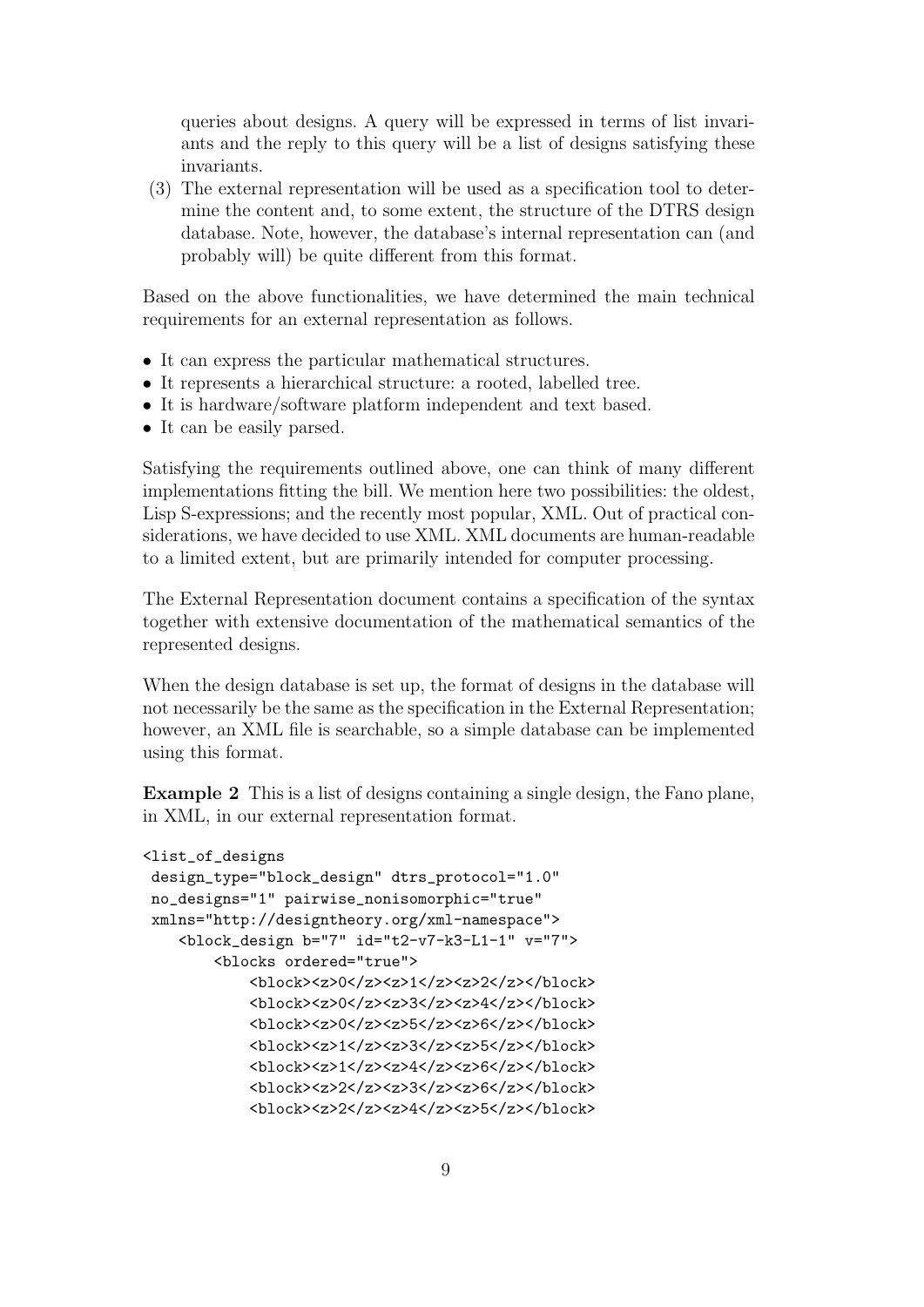queries about designs. A query will be expressed in terms of list invariants and the reply to this query will be a list of designs satisfying these invariants.

(3) The external representation will be used as a specification tool to determine the content and, to some extent, the structure of the DTRS design database. Note, however, the database's internal representation can (and probably will) be quite different from this format.

Based on the above functionalities, we have determined the main technical requirements for an external representation as follows.

- It can express the particular mathematical structures.
- It represents a hierarchical structure: a rooted, labelled tree.
- It is hardware/software platform independent and text based.
- It can be easily parsed.

Satisfying the requirements outlined above, one can think of many different implementations fitting the bill. We mention here two possibilities: the oldest, Lisp S-expressions; and the recently most popular, XML. Out of practical considerations, we have decided to use XML. XML documents are human-readable to a limited extent, but are primarily intended for computer processing.

The External Representation document contains a specification of the syntax together with extensive documentation of the mathematical semantics of the represented designs.

When the design database is set up, the format of designs in the database will not necessarily be the same as the specification in the External Representation; however, an XML file is searchable, so a simple database can be implemented using this format.

Example 2 This is a list of designs containing a single design, the Fano plane, in XML, in our external representation format.

```
<list_of_designs
 design_type="block_design" dtrs_protocol="1.0"
 no_designs="1" pairwise_nonisomorphic="true"
 xmlns="http://designtheory.org/xml-namespace">
    <block_design b="7" id="t2-v7-k3-L1-1" v="7">
        <blocks ordered="true">
            <block><z>0</z><z>1</z><z>2</z></block>
            <block><z>0</z><z>3</z><z>4</z></block>
            <block><z>0</z><z>5</z><z>6</z></block>
            <block><z>1</z><z>3</z><z>5</z></block>
            <block><z>1</z><z>4</z><z>6</z></block>
            <block><z>2</z><z>3</z><z>6</z></block>
            <block><z>2</z><z>4</z><z>5</z></block>
```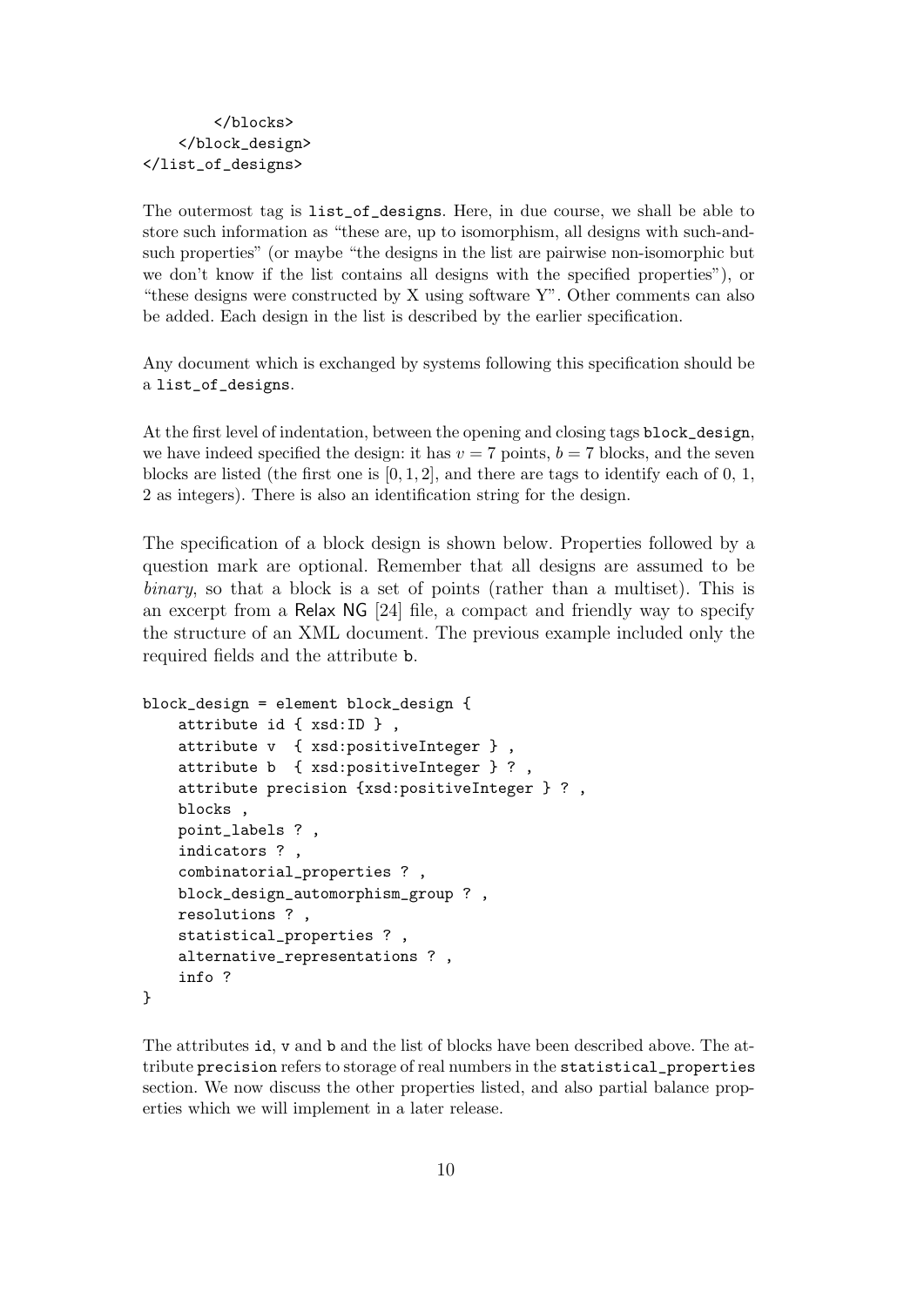</blocks> </block\_design> </list\_of\_designs>

The outermost tag is list\_of\_designs. Here, in due course, we shall be able to store such information as "these are, up to isomorphism, all designs with such-andsuch properties" (or maybe "the designs in the list are pairwise non-isomorphic but we don't know if the list contains all designs with the specified properties"), or "these designs were constructed by X using software Y". Other comments can also be added. Each design in the list is described by the earlier specification.

Any document which is exchanged by systems following this specification should be a list\_of\_designs.

At the first level of indentation, between the opening and closing tags block\_design, we have indeed specified the design: it has  $v = 7$  points,  $b = 7$  blocks, and the seven blocks are listed (the first one is  $[0, 1, 2]$ , and there are tags to identify each of 0, 1, 2 as integers). There is also an identification string for the design.

The specification of a block design is shown below. Properties followed by a question mark are optional. Remember that all designs are assumed to be binary, so that a block is a set of points (rather than a multiset). This is an excerpt from a Relax  $NG$  [24] file, a compact and friendly way to specify the structure of an XML document. The previous example included only the required fields and the attribute b.

```
block_design = element block_design {
    attribute id { xsd:ID } ,
    attribute v { xsd:positiveInteger } ,
    attribute b { xsd:positiveInteger } ? ,
    attribute precision {xsd:positiveInteger } ? ,
    blocks ,
    point_labels ? ,
    indicators ? ,
    combinatorial_properties ? ,
    block_design_automorphism_group ? ,
    resolutions ? ,
    statistical_properties ? ,
    alternative_representations ? ,
    info ?
}
```
The attributes id, v and b and the list of blocks have been described above. The attribute precision refers to storage of real numbers in the statistical\_properties section. We now discuss the other properties listed, and also partial balance properties which we will implement in a later release.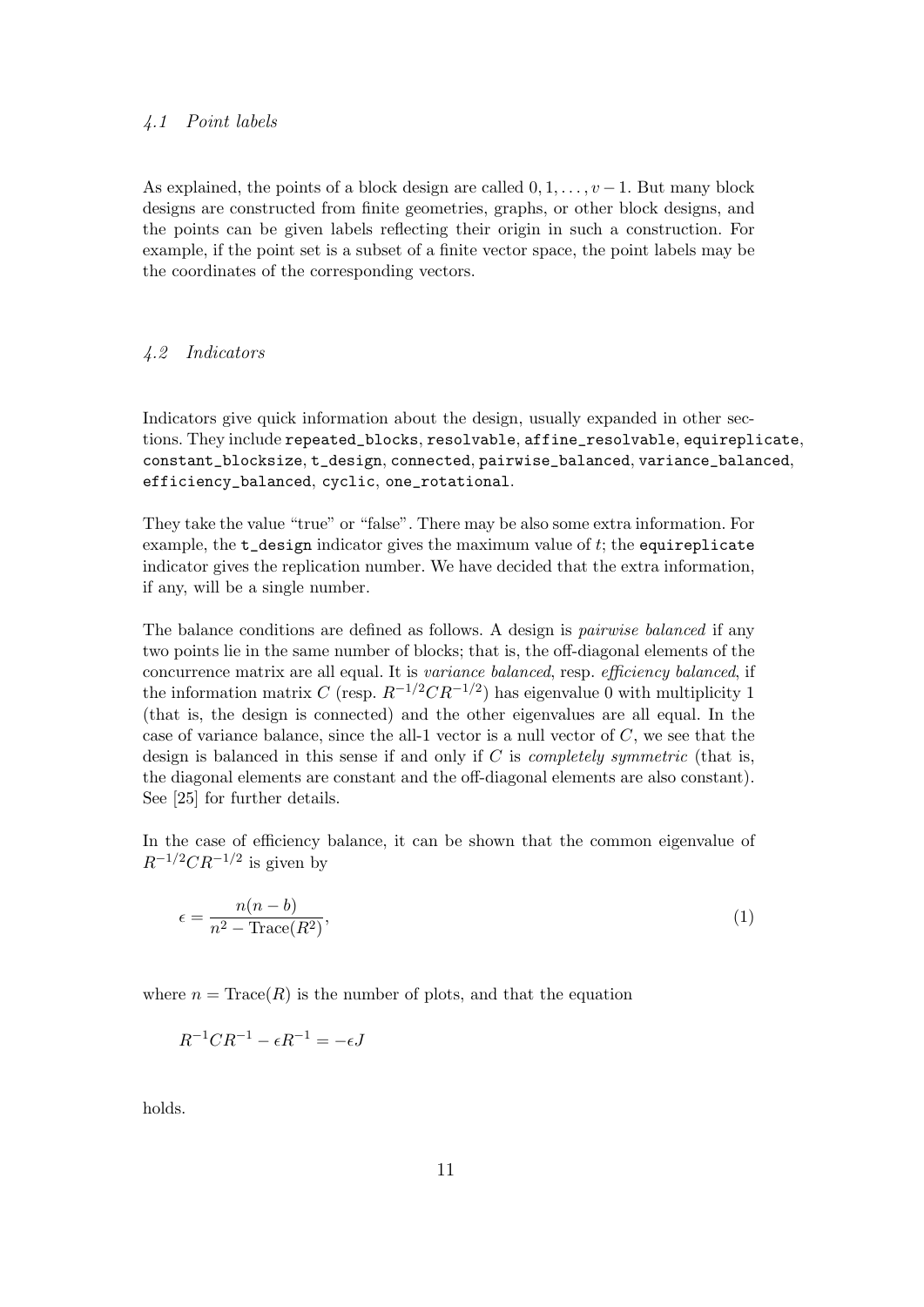#### 4.1 Point labels

As explained, the points of a block design are called  $0, 1, \ldots, v-1$ . But many block designs are constructed from finite geometries, graphs, or other block designs, and the points can be given labels reflecting their origin in such a construction. For example, if the point set is a subset of a finite vector space, the point labels may be the coordinates of the corresponding vectors.

## 4.2 Indicators

Indicators give quick information about the design, usually expanded in other sections. They include repeated\_blocks, resolvable, affine\_resolvable, equireplicate, constant\_blocksize, t\_design, connected, pairwise\_balanced, variance\_balanced, efficiency\_balanced, cyclic, one\_rotational.

They take the value "true" or "false". There may be also some extra information. For example, the  $t_{\text{-}}$  design indicator gives the maximum value of t; the equireplicate indicator gives the replication number. We have decided that the extra information, if any, will be a single number.

The balance conditions are defined as follows. A design is pairwise balanced if any two points lie in the same number of blocks; that is, the off-diagonal elements of the concurrence matrix are all equal. It is variance balanced, resp. efficiency balanced, if the information matrix C (resp.  $R^{-1/2}CR^{-1/2}$ ) has eigenvalue 0 with multiplicity 1 (that is, the design is connected) and the other eigenvalues are all equal. In the case of variance balance, since the all-1 vector is a null vector of  $C$ , we see that the design is balanced in this sense if and only if  $C$  is *completely symmetric* (that is, the diagonal elements are constant and the off-diagonal elements are also constant). See [25] for further details.

In the case of efficiency balance, it can be shown that the common eigenvalue of  $R^{-1/2}CR^{-1/2}$  is given by

$$
\epsilon = \frac{n(n-b)}{n^2 - \text{Trace}(R^2)},\tag{1}
$$

where  $n = \text{Trace}(R)$  is the number of plots, and that the equation

$$
R^{-1}CR^{-1} - \epsilon R^{-1} = -\epsilon J
$$

holds.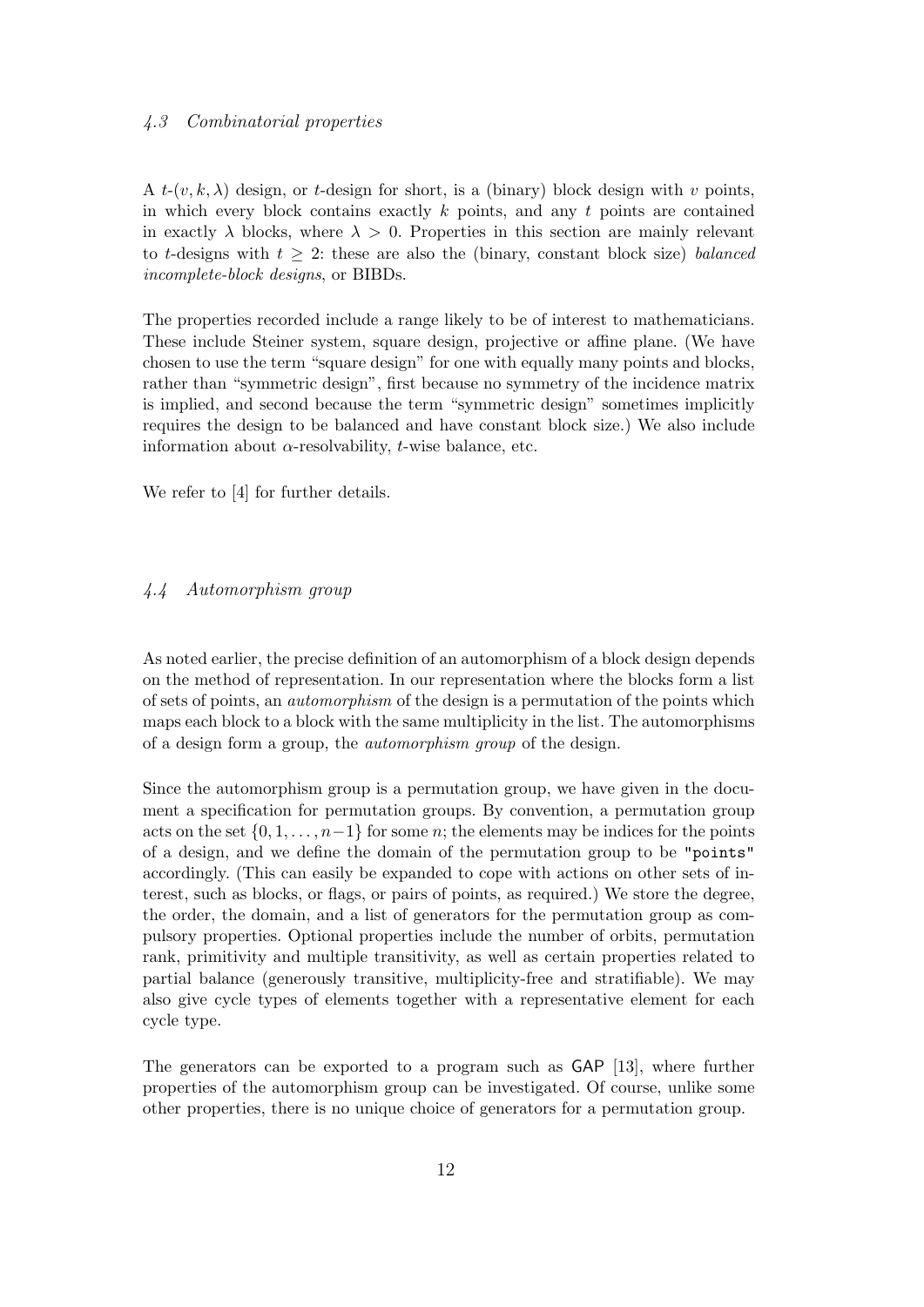#### 4.3 Combinatorial properties

A  $t-(v, k, \lambda)$  design, or t-design for short, is a (binary) block design with v points, in which every block contains exactly  $k$  points, and any  $t$  points are contained in exactly  $\lambda$  blocks, where  $\lambda > 0$ . Properties in this section are mainly relevant to t-designs with  $t \geq 2$ : these are also the (binary, constant block size) balanced incomplete-block designs, or BIBDs.

The properties recorded include a range likely to be of interest to mathematicians. These include Steiner system, square design, projective or affine plane. (We have chosen to use the term "square design" for one with equally many points and blocks, rather than "symmetric design", first because no symmetry of the incidence matrix is implied, and second because the term "symmetric design" sometimes implicitly requires the design to be balanced and have constant block size.) We also include information about  $\alpha$ -resolvability, *t*-wise balance, etc.

We refer to [4] for further details.

### 4.4 Automorphism group

As noted earlier, the precise definition of an automorphism of a block design depends on the method of representation. In our representation where the blocks form a list of sets of points, an automorphism of the design is a permutation of the points which maps each block to a block with the same multiplicity in the list. The automorphisms of a design form a group, the automorphism group of the design.

Since the automorphism group is a permutation group, we have given in the document a specification for permutation groups. By convention, a permutation group acts on the set  $\{0, 1, \ldots, n-1\}$  for some n; the elements may be indices for the points of a design, and we define the domain of the permutation group to be "points" accordingly. (This can easily be expanded to cope with actions on other sets of interest, such as blocks, or flags, or pairs of points, as required.) We store the degree, the order, the domain, and a list of generators for the permutation group as compulsory properties. Optional properties include the number of orbits, permutation rank, primitivity and multiple transitivity, as well as certain properties related to partial balance (generously transitive, multiplicity-free and stratifiable). We may also give cycle types of elements together with a representative element for each cycle type.

The generators can be exported to a program such as GAP [13], where further properties of the automorphism group can be investigated. Of course, unlike some other properties, there is no unique choice of generators for a permutation group.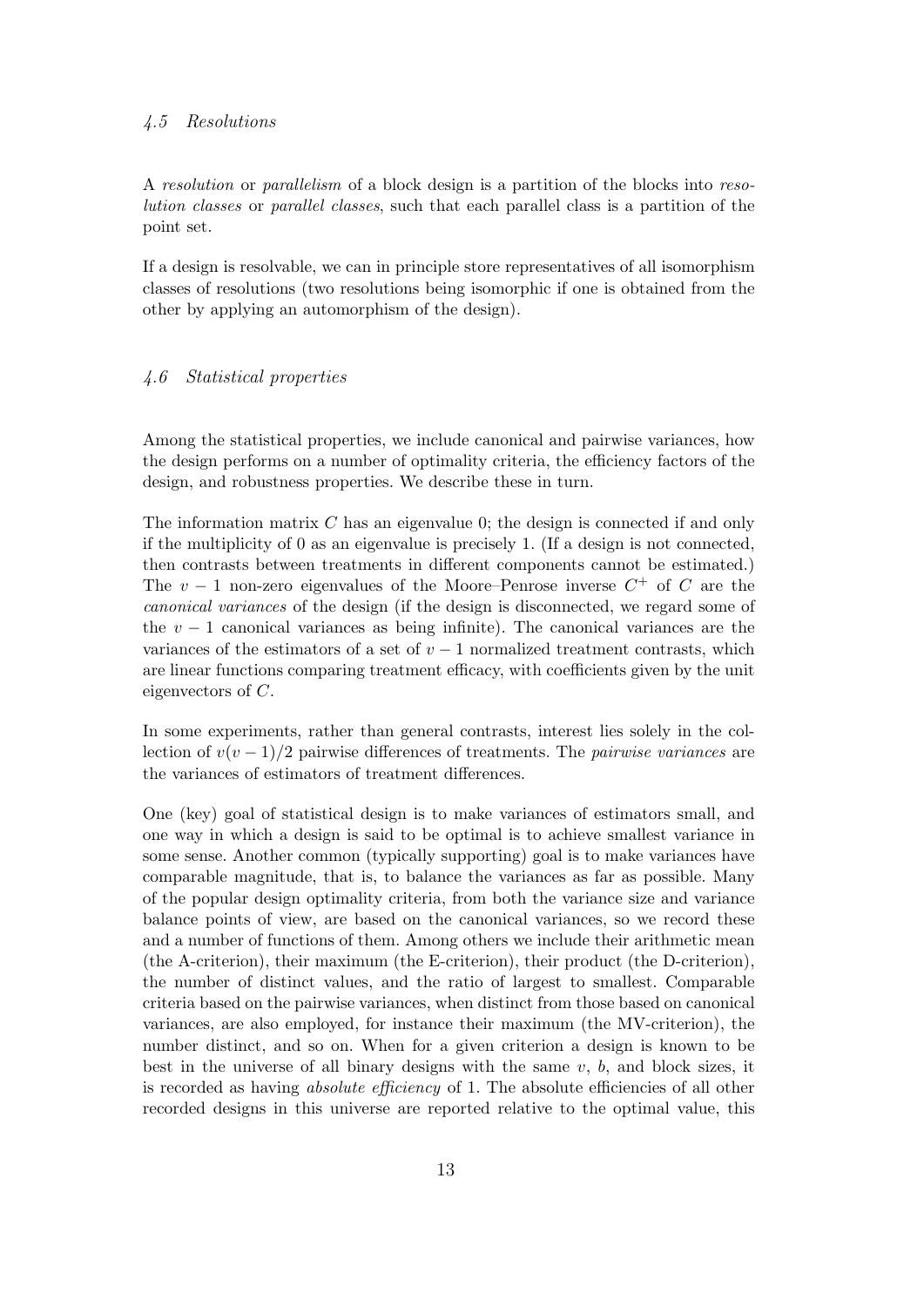#### 4.5 Resolutions

A resolution or parallelism of a block design is a partition of the blocks into resolution classes or parallel classes, such that each parallel class is a partition of the point set.

If a design is resolvable, we can in principle store representatives of all isomorphism classes of resolutions (two resolutions being isomorphic if one is obtained from the other by applying an automorphism of the design).

## 4.6 Statistical properties

Among the statistical properties, we include canonical and pairwise variances, how the design performs on a number of optimality criteria, the efficiency factors of the design, and robustness properties. We describe these in turn.

The information matrix C has an eigenvalue 0; the design is connected if and only if the multiplicity of 0 as an eigenvalue is precisely 1. (If a design is not connected, then contrasts between treatments in different components cannot be estimated.) The  $v-1$  non-zero eigenvalues of the Moore–Penrose inverse  $C^+$  of C are the canonical variances of the design (if the design is disconnected, we regard some of the  $v - 1$  canonical variances as being infinite). The canonical variances are the variances of the estimators of a set of  $v-1$  normalized treatment contrasts, which are linear functions comparing treatment efficacy, with coefficients given by the unit eigenvectors of C.

In some experiments, rather than general contrasts, interest lies solely in the collection of  $v(v-1)/2$  pairwise differences of treatments. The *pairwise variances* are the variances of estimators of treatment differences.

One (key) goal of statistical design is to make variances of estimators small, and one way in which a design is said to be optimal is to achieve smallest variance in some sense. Another common (typically supporting) goal is to make variances have comparable magnitude, that is, to balance the variances as far as possible. Many of the popular design optimality criteria, from both the variance size and variance balance points of view, are based on the canonical variances, so we record these and a number of functions of them. Among others we include their arithmetic mean (the A-criterion), their maximum (the E-criterion), their product (the D-criterion), the number of distinct values, and the ratio of largest to smallest. Comparable criteria based on the pairwise variances, when distinct from those based on canonical variances, are also employed, for instance their maximum (the MV-criterion), the number distinct, and so on. When for a given criterion a design is known to be best in the universe of all binary designs with the same  $v, b$ , and block sizes, it is recorded as having *absolute efficiency* of 1. The absolute efficiencies of all other recorded designs in this universe are reported relative to the optimal value, this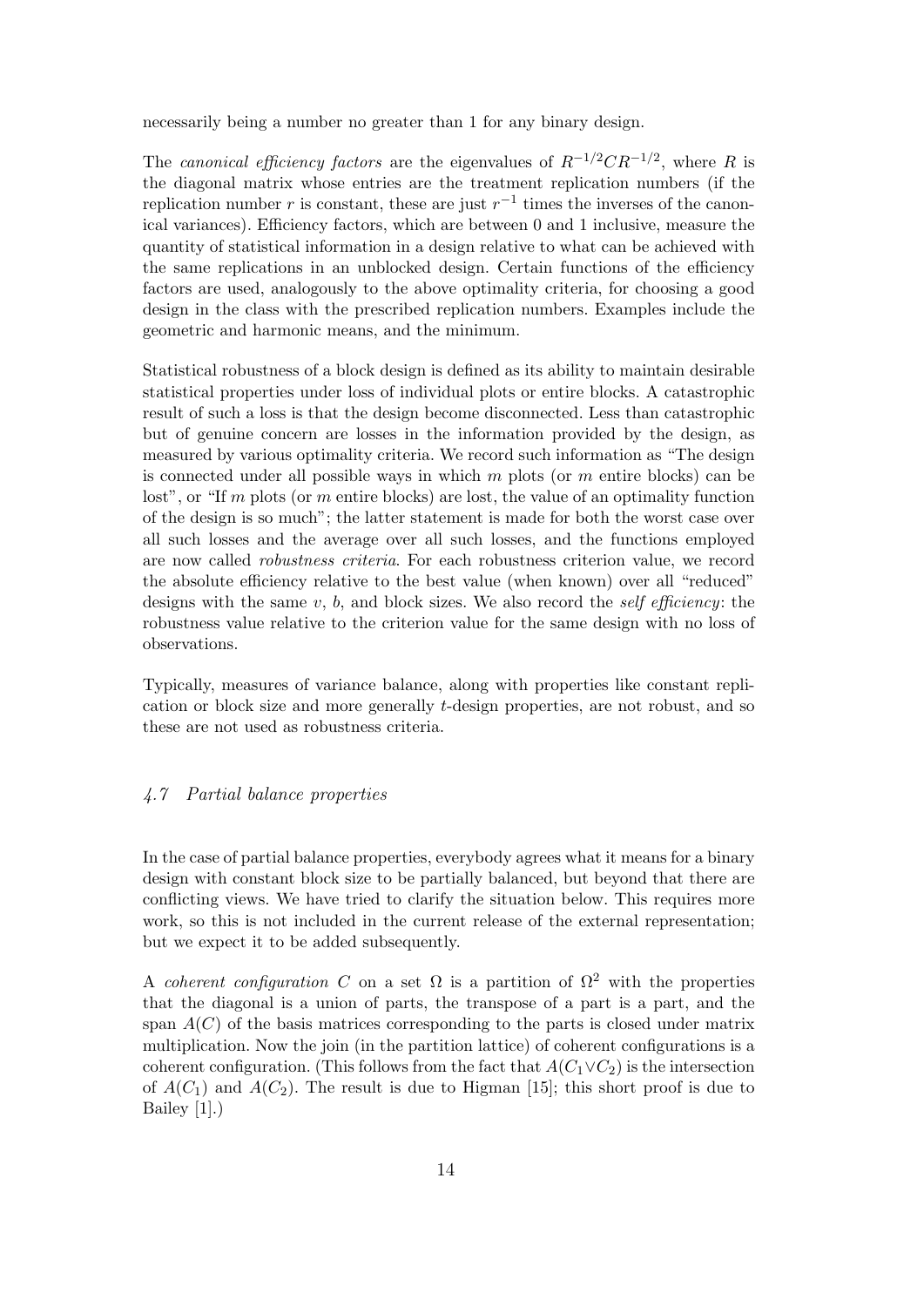necessarily being a number no greater than 1 for any binary design.

The canonical efficiency factors are the eigenvalues of  $R^{-1/2}CR^{-1/2}$ , where R is the diagonal matrix whose entries are the treatment replication numbers (if the replication number r is constant, these are just  $r^{-1}$  times the inverses of the canonical variances). Efficiency factors, which are between 0 and 1 inclusive, measure the quantity of statistical information in a design relative to what can be achieved with the same replications in an unblocked design. Certain functions of the efficiency factors are used, analogously to the above optimality criteria, for choosing a good design in the class with the prescribed replication numbers. Examples include the geometric and harmonic means, and the minimum.

Statistical robustness of a block design is defined as its ability to maintain desirable statistical properties under loss of individual plots or entire blocks. A catastrophic result of such a loss is that the design become disconnected. Less than catastrophic but of genuine concern are losses in the information provided by the design, as measured by various optimality criteria. We record such information as "The design is connected under all possible ways in which  $m$  plots (or  $m$  entire blocks) can be lost", or "If m plots (or m entire blocks) are lost, the value of an optimality function of the design is so much"; the latter statement is made for both the worst case over all such losses and the average over all such losses, and the functions employed are now called robustness criteria. For each robustness criterion value, we record the absolute efficiency relative to the best value (when known) over all "reduced" designs with the same  $v, b$ , and block sizes. We also record the self efficiency: the robustness value relative to the criterion value for the same design with no loss of observations.

Typically, measures of variance balance, along with properties like constant replication or block size and more generally t-design properties, are not robust, and so these are not used as robustness criteria.

# 4.7 Partial balance properties

In the case of partial balance properties, everybody agrees what it means for a binary design with constant block size to be partially balanced, but beyond that there are conflicting views. We have tried to clarify the situation below. This requires more work, so this is not included in the current release of the external representation; but we expect it to be added subsequently.

A coherent configuration C on a set  $\Omega$  is a partition of  $\Omega^2$  with the properties that the diagonal is a union of parts, the transpose of a part is a part, and the span  $A(C)$  of the basis matrices corresponding to the parts is closed under matrix multiplication. Now the join (in the partition lattice) of coherent configurations is a coherent configuration. (This follows from the fact that  $A(C_1 \vee C_2)$  is the intersection of  $A(C_1)$  and  $A(C_2)$ . The result is due to Higman [15]; this short proof is due to Bailey [1].)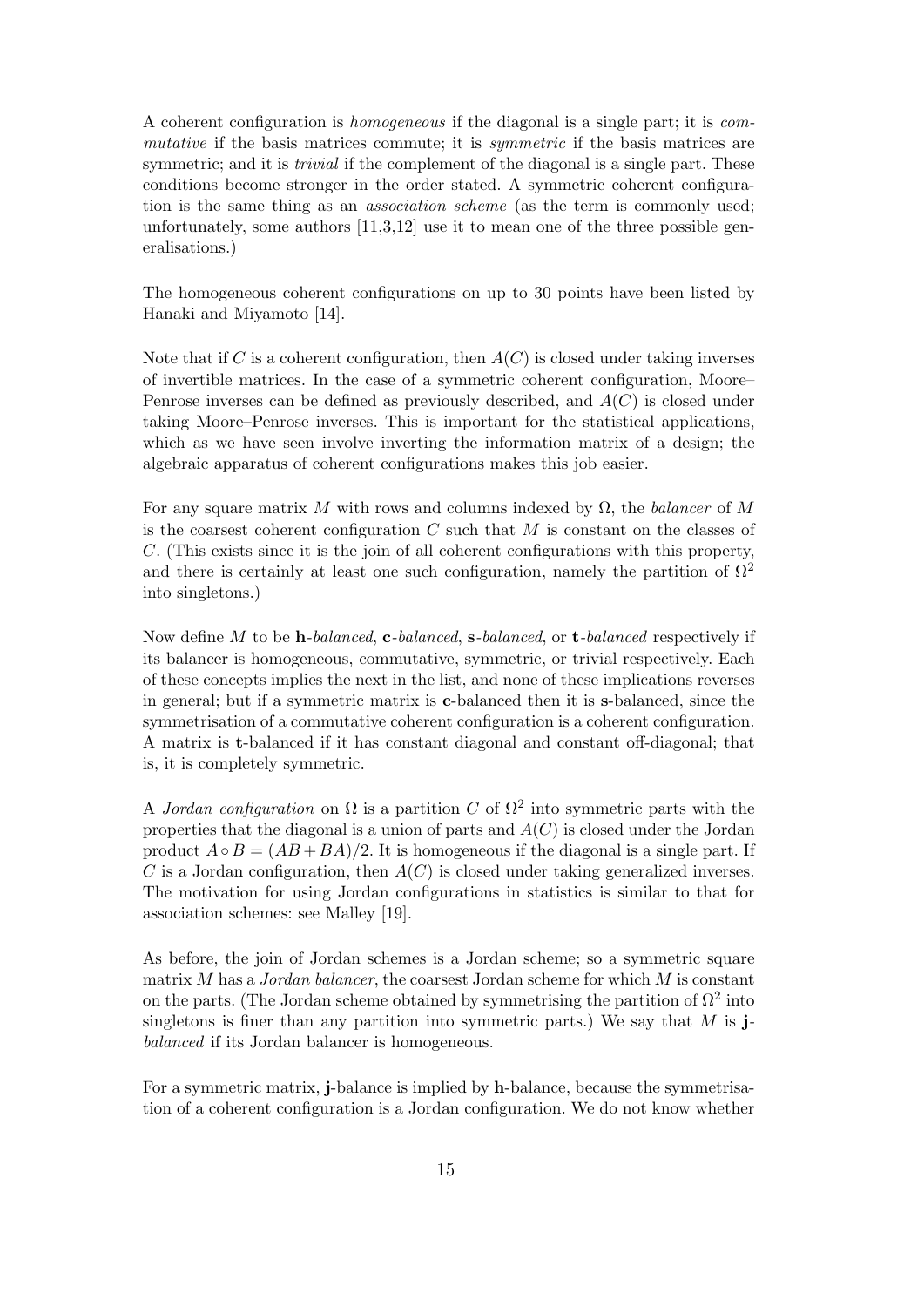A coherent configuration is homogeneous if the diagonal is a single part; it is commutative if the basis matrices commute; it is *symmetric* if the basis matrices are symmetric; and it is *trivial* if the complement of the diagonal is a single part. These conditions become stronger in the order stated. A symmetric coherent configuration is the same thing as an association scheme (as the term is commonly used; unfortunately, some authors  $[11,3,12]$  use it to mean one of the three possible generalisations.)

The homogeneous coherent configurations on up to 30 points have been listed by Hanaki and Miyamoto [14].

Note that if C is a coherent configuration, then  $A(C)$  is closed under taking inverses of invertible matrices. In the case of a symmetric coherent configuration, Moore– Penrose inverses can be defined as previously described, and  $A(C)$  is closed under taking Moore–Penrose inverses. This is important for the statistical applications, which as we have seen involve inverting the information matrix of a design; the algebraic apparatus of coherent configurations makes this job easier.

For any square matrix M with rows and columns indexed by  $\Omega$ , the balancer of M is the coarsest coherent configuration  $C$  such that  $M$  is constant on the classes of C. (This exists since it is the join of all coherent configurations with this property, and there is certainly at least one such configuration, namely the partition of  $\Omega^2$ into singletons.)

Now define M to be h-balanced, c-balanced, s-balanced, or t-balanced respectively if its balancer is homogeneous, commutative, symmetric, or trivial respectively. Each of these concepts implies the next in the list, and none of these implications reverses in general; but if a symmetric matrix is c-balanced then it is s-balanced, since the symmetrisation of a commutative coherent configuration is a coherent configuration. A matrix is t-balanced if it has constant diagonal and constant off-diagonal; that is, it is completely symmetric.

A Jordan configuration on  $\Omega$  is a partition C of  $\Omega^2$  into symmetric parts with the properties that the diagonal is a union of parts and  $A(C)$  is closed under the Jordan product  $A \circ B = (AB + BA)/2$ . It is homogeneous if the diagonal is a single part. If C is a Jordan configuration, then  $A(C)$  is closed under taking generalized inverses. The motivation for using Jordan configurations in statistics is similar to that for association schemes: see Malley [19].

As before, the join of Jordan schemes is a Jordan scheme; so a symmetric square matrix  $M$  has a *Jordan balancer*, the coarsest Jordan scheme for which  $M$  is constant on the parts. (The Jordan scheme obtained by symmetrising the partition of  $\Omega^2$  into singletons is finer than any partition into symmetric parts.) We say that  $M$  is jbalanced if its Jordan balancer is homogeneous.

For a symmetric matrix, j-balance is implied by h-balance, because the symmetrisation of a coherent configuration is a Jordan configuration. We do not know whether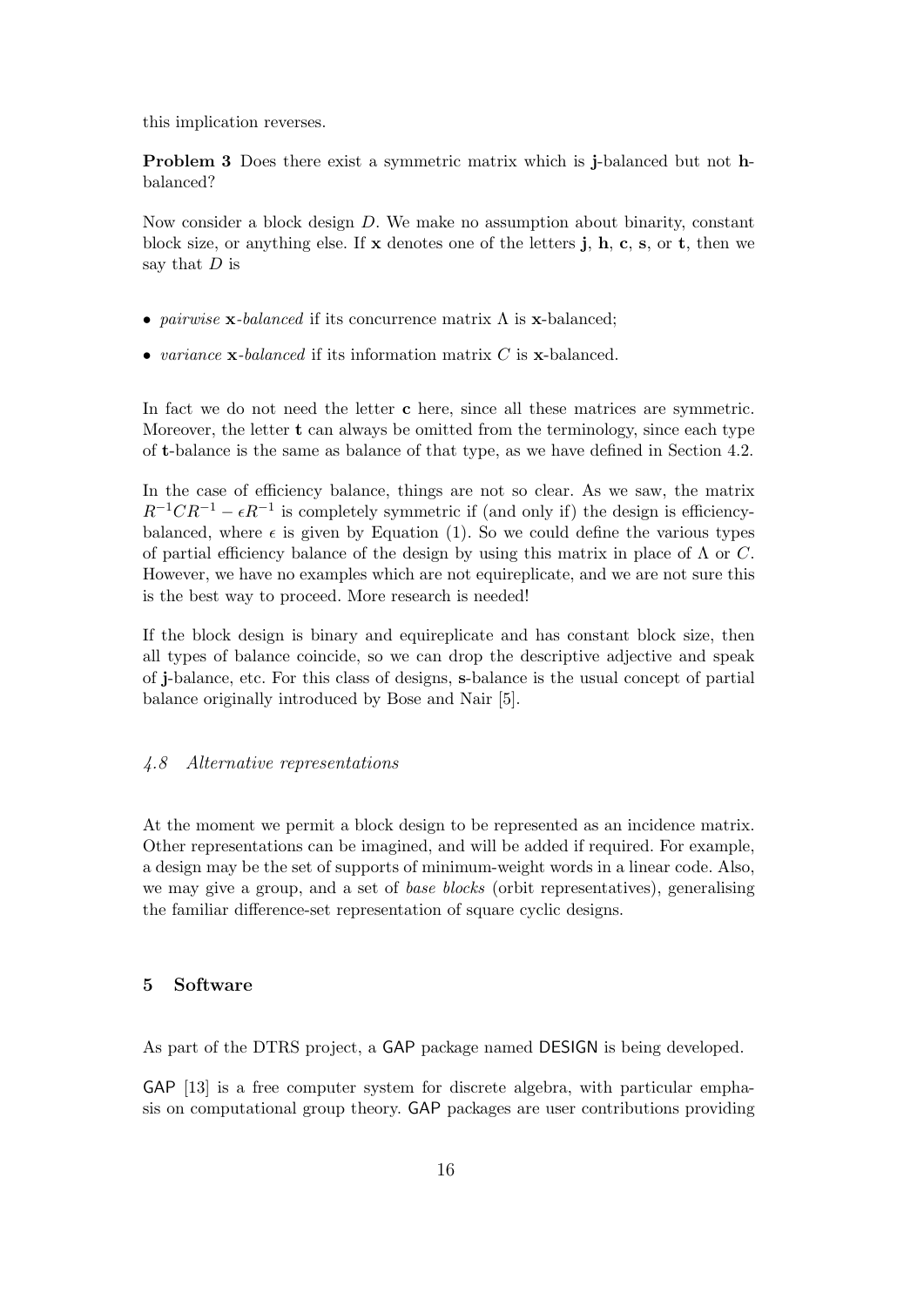this implication reverses.

Problem 3 Does there exist a symmetric matrix which is j-balanced but not hbalanced?

Now consider a block design D. We make no assumption about binarity, constant block size, or anything else. If  $x$  denotes one of the letters j, h, c, s, or t, then we say that  $D$  is

- pairwise  $\mathbf{x}$ -balanced if its concurrence matrix  $\Lambda$  is  $\mathbf{x}$ -balanced;
- variance  $x$ -balanced if its information matrix C is  $x$ -balanced.

In fact we do not need the letter **c** here, since all these matrices are symmetric. Moreover, the letter  $t$  can always be omitted from the terminology, since each type of t-balance is the same as balance of that type, as we have defined in Section 4.2.

In the case of efficiency balance, things are not so clear. As we saw, the matrix  $R^{-1}CR^{-1} - \epsilon R^{-1}$  is completely symmetric if (and only if) the design is efficiencybalanced, where  $\epsilon$  is given by Equation (1). So we could define the various types of partial efficiency balance of the design by using this matrix in place of  $\Lambda$  or C. However, we have no examples which are not equireplicate, and we are not sure this is the best way to proceed. More research is needed!

If the block design is binary and equireplicate and has constant block size, then all types of balance coincide, so we can drop the descriptive adjective and speak of j-balance, etc. For this class of designs, s-balance is the usual concept of partial balance originally introduced by Bose and Nair [5].

#### 4.8 Alternative representations

At the moment we permit a block design to be represented as an incidence matrix. Other representations can be imagined, and will be added if required. For example, a design may be the set of supports of minimum-weight words in a linear code. Also, we may give a group, and a set of *base blocks* (orbit representatives), generalising the familiar difference-set representation of square cyclic designs.

#### 5 Software

As part of the DTRS project, a GAP package named DESIGN is being developed.

GAP [13] is a free computer system for discrete algebra, with particular emphasis on computational group theory. GAP packages are user contributions providing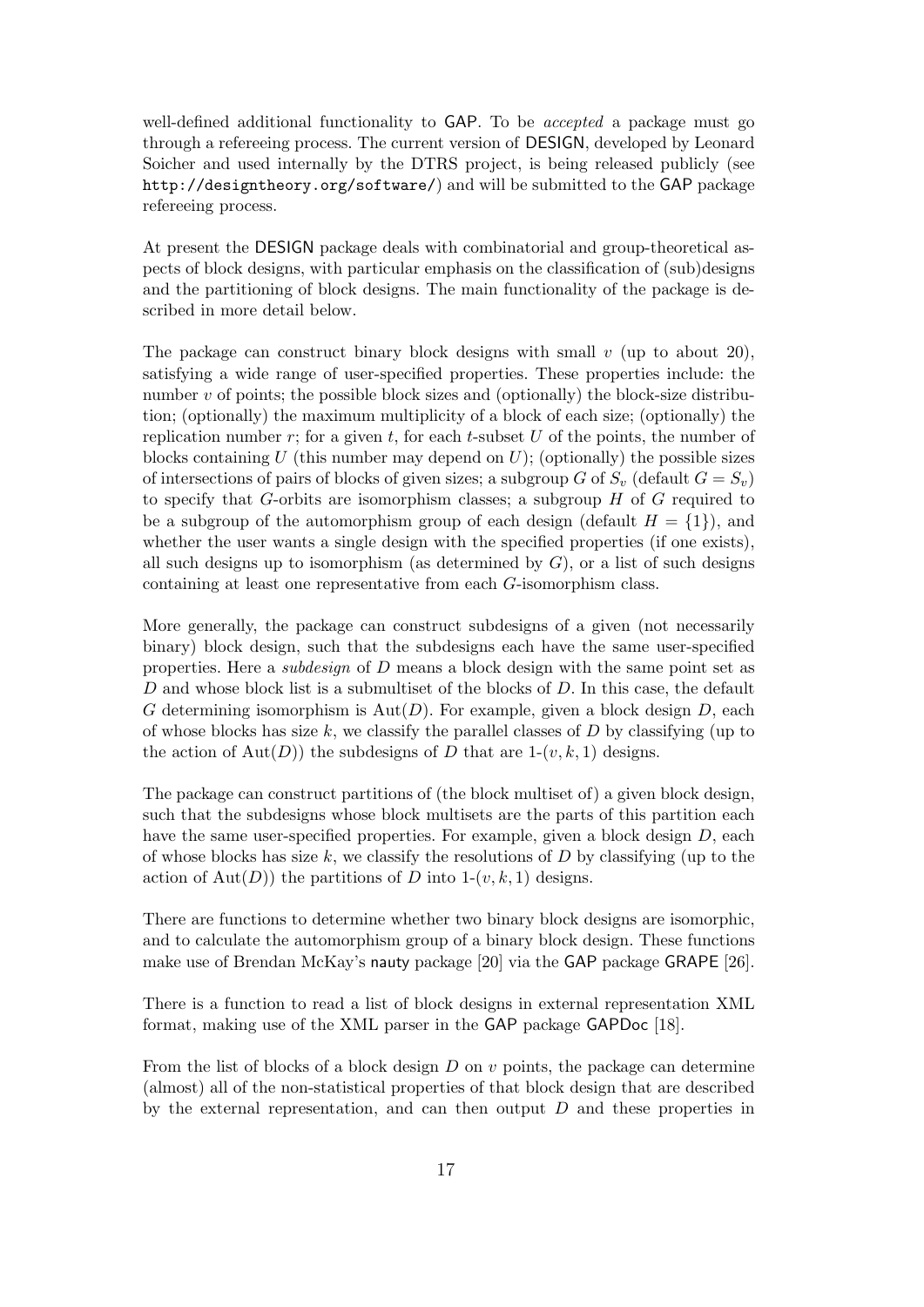well-defined additional functionality to GAP. To be *accepted* a package must go through a refereeing process. The current version of DESIGN, developed by Leonard Soicher and used internally by the DTRS project, is being released publicly (see http://designtheory.org/software/) and will be submitted to the GAP package refereeing process.

At present the DESIGN package deals with combinatorial and group-theoretical aspects of block designs, with particular emphasis on the classification of (sub)designs and the partitioning of block designs. The main functionality of the package is described in more detail below.

The package can construct binary block designs with small  $v$  (up to about 20), satisfying a wide range of user-specified properties. These properties include: the number  $v$  of points; the possible block sizes and (optionally) the block-size distribution; (optionally) the maximum multiplicity of a block of each size; (optionally) the replication number  $r$ ; for a given  $t$ , for each  $t$ -subset  $U$  of the points, the number of blocks containing  $U$  (this number may depend on  $U$ ); (optionally) the possible sizes of intersections of pairs of blocks of given sizes; a subgroup G of  $S_v$  (default  $G = S_v$ ) to specify that  $G$ -orbits are isomorphism classes; a subgroup  $H$  of  $G$  required to be a subgroup of the automorphism group of each design (default  $H = \{1\}$ ), and whether the user wants a single design with the specified properties (if one exists), all such designs up to isomorphism (as determined by  $G$ ), or a list of such designs containing at least one representative from each G-isomorphism class.

More generally, the package can construct subdesigns of a given (not necessarily binary) block design, such that the subdesigns each have the same user-specified properties. Here a subdesign of D means a block design with the same point set as D and whose block list is a submultiset of the blocks of D. In this case, the default G determining isomorphism is  $Aut(D)$ . For example, given a block design D, each of whose blocks has size k, we classify the parallel classes of  $D$  by classifying (up to the action of Aut(D)) the subdesigns of D that are  $1-(v, k, 1)$  designs.

The package can construct partitions of (the block multiset of) a given block design, such that the subdesigns whose block multisets are the parts of this partition each have the same user-specified properties. For example, given a block design D, each of whose blocks has size k, we classify the resolutions of  $D$  by classifying (up to the action of Aut $(D)$  the partitions of D into 1- $(v, k, 1)$  designs.

There are functions to determine whether two binary block designs are isomorphic, and to calculate the automorphism group of a binary block design. These functions make use of Brendan McKay's nauty package [20] via the GAP package GRAPE [26].

There is a function to read a list of block designs in external representation XML format, making use of the XML parser in the GAP package GAPDoc [18].

From the list of blocks of a block design  $D$  on  $v$  points, the package can determine (almost) all of the non-statistical properties of that block design that are described by the external representation, and can then output  $D$  and these properties in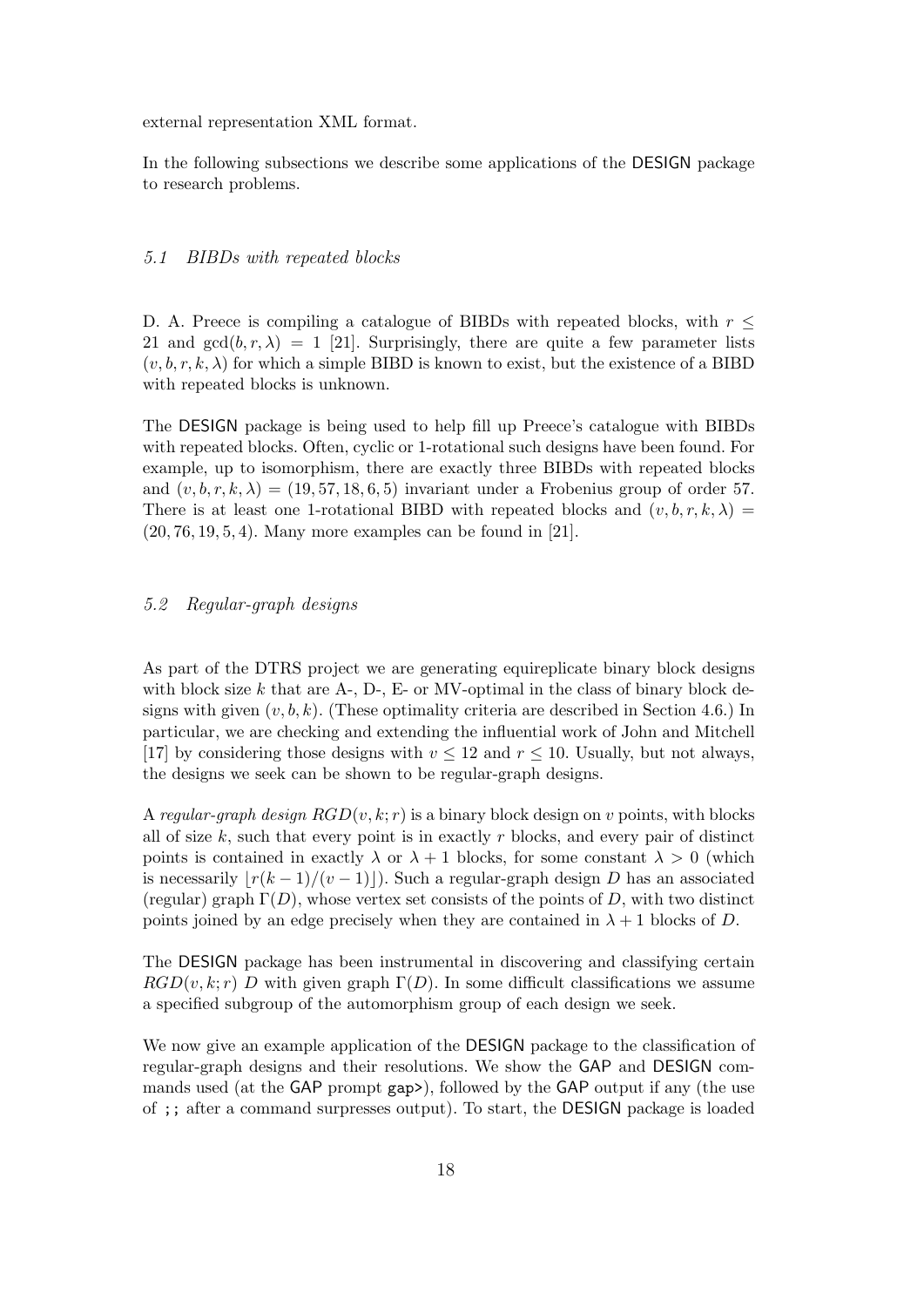external representation XML format.

In the following subsections we describe some applications of the DESIGN package to research problems.

#### 5.1 BIBDs with repeated blocks

D. A. Preece is compiling a catalogue of BIBDs with repeated blocks, with  $r \leq$ 21 and  $gcd(b, r, \lambda) = 1$  [21]. Surprisingly, there are quite a few parameter lists  $(v, b, r, k, \lambda)$  for which a simple BIBD is known to exist, but the existence of a BIBD with repeated blocks is unknown.

The DESIGN package is being used to help fill up Preece's catalogue with BIBDs with repeated blocks. Often, cyclic or 1-rotational such designs have been found. For example, up to isomorphism, there are exactly three BIBDs with repeated blocks and  $(v, b, r, k, \lambda) = (19, 57, 18, 6, 5)$  invariant under a Frobenius group of order 57. There is at least one 1-rotational BIBD with repeated blocks and  $(v, b, r, k, \lambda)$  $(20, 76, 19, 5, 4)$ . Many more examples can be found in [21].

#### 5.2 Regular-graph designs

As part of the DTRS project we are generating equireplicate binary block designs with block size  $k$  that are A-, D-, E- or MV-optimal in the class of binary block designs with given  $(v, b, k)$ . (These optimality criteria are described in Section 4.6.) In particular, we are checking and extending the influential work of John and Mitchell [17] by considering those designs with  $v \le 12$  and  $r \le 10$ . Usually, but not always, the designs we seek can be shown to be regular-graph designs.

A regular-graph design  $RGD(v, k; r)$  is a binary block design on v points, with blocks all of size  $k$ , such that every point is in exactly r blocks, and every pair of distinct points is contained in exactly  $\lambda$  or  $\lambda + 1$  blocks, for some constant  $\lambda > 0$  (which is necessarily  $|r(k - 1)/(v - 1)|$ . Such a regular-graph design D has an associated (regular) graph  $\Gamma(D)$ , whose vertex set consists of the points of D, with two distinct points joined by an edge precisely when they are contained in  $\lambda + 1$  blocks of D.

The DESIGN package has been instrumental in discovering and classifying certain  $RGD(v, k; r)$  D with given graph  $\Gamma(D)$ . In some difficult classifications we assume a specified subgroup of the automorphism group of each design we seek.

We now give an example application of the DESIGN package to the classification of regular-graph designs and their resolutions. We show the GAP and DESIGN commands used (at the GAP prompt gap>), followed by the GAP output if any (the use of ;; after a command surpresses output). To start, the DESIGN package is loaded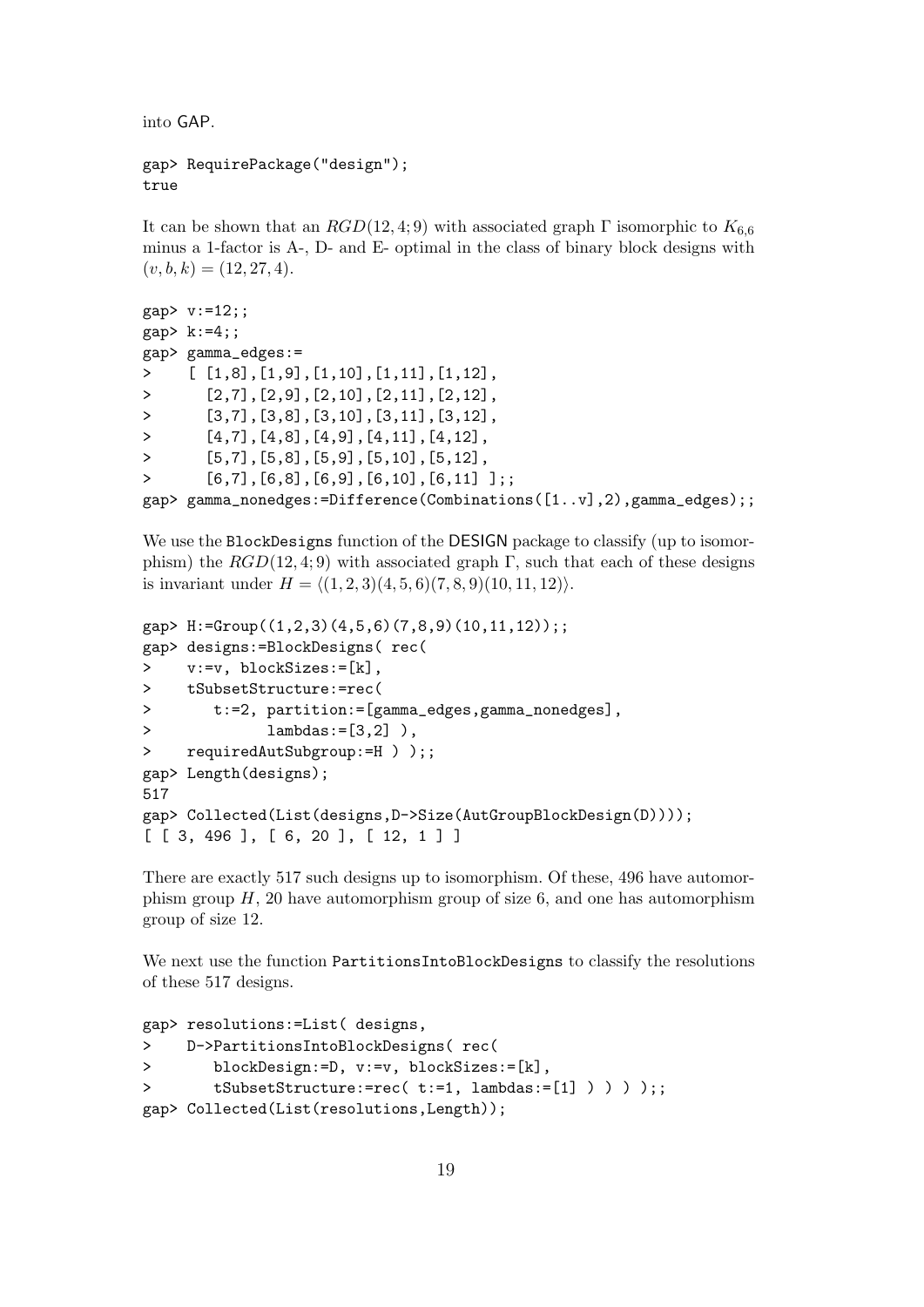into GAP.

```
gap> RequirePackage("design");
true
```
It can be shown that an  $RGD(12, 4; 9)$  with associated graph  $\Gamma$  isomorphic to  $K_{6,6}$ minus a 1-factor is A-, D- and E- optimal in the class of binary block designs with  $(v, b, k) = (12, 27, 4).$ 

```
gap> v:=12;;
gap> k:=4;;
gap> gamma_edges:=
> [ [1,8],[1,9],[1,10],[1,11],[1,12],
> [2,7],[2,9],[2,10],[2,11],[2,12],
> [3,7],[3,8],[3,10],[3,11],[3,12],
> [4,7],[4,8],[4,9],[4,11],[4,12],
> [5,7],[5,8],[5,9],[5,10],[5,12],
> [6,7],[6,8],[6,9],[6,10],[6,11] ];;
gap> gamma_nonedges:=Difference(Combinations([1..v],2),gamma_edges);;
```
We use the BlockDesigns function of the DESIGN package to classify (up to isomorphism) the  $RGD(12, 4; 9)$  with associated graph Γ, such that each of these designs is invariant under  $H = \langle (1, 2, 3)(4, 5, 6)(7, 8, 9)(10, 11, 12) \rangle.$ 

```
gap> H:=Group((1,2,3)(4,5,6)(7,8,9)(10,11,12));;
gap> designs:=BlockDesigns( rec(
> v:=v, blockSizes:=[k],
> tSubsetStructure:=rec(
> t:=2, partition:=[gamma_edges,gamma_nonedges],
> lambdas:=[3,2] ),
> requiredAutSubgroup:=H ) );;
gap> Length(designs);
517
gap> Collected(List(designs,D->Size(AutGroupBlockDesign(D))));
[ [ 3, 496 ], [ 6, 20 ], [ 12, 1 ] ]
```
There are exactly 517 such designs up to isomorphism. Of these, 496 have automorphism group  $H$ , 20 have automorphism group of size 6, and one has automorphism group of size 12.

We next use the function PartitionsIntoBlockDesigns to classify the resolutions of these 517 designs.

```
gap> resolutions:=List( designs,
> D->PartitionsIntoBlockDesigns( rec(
> blockDesign:=D, v:=v, blockSizes:=[k],
> tSubsetStructure:=rec( t:=1, lambdas:=[1] ) ) ) );;
gap> Collected(List(resolutions,Length));
```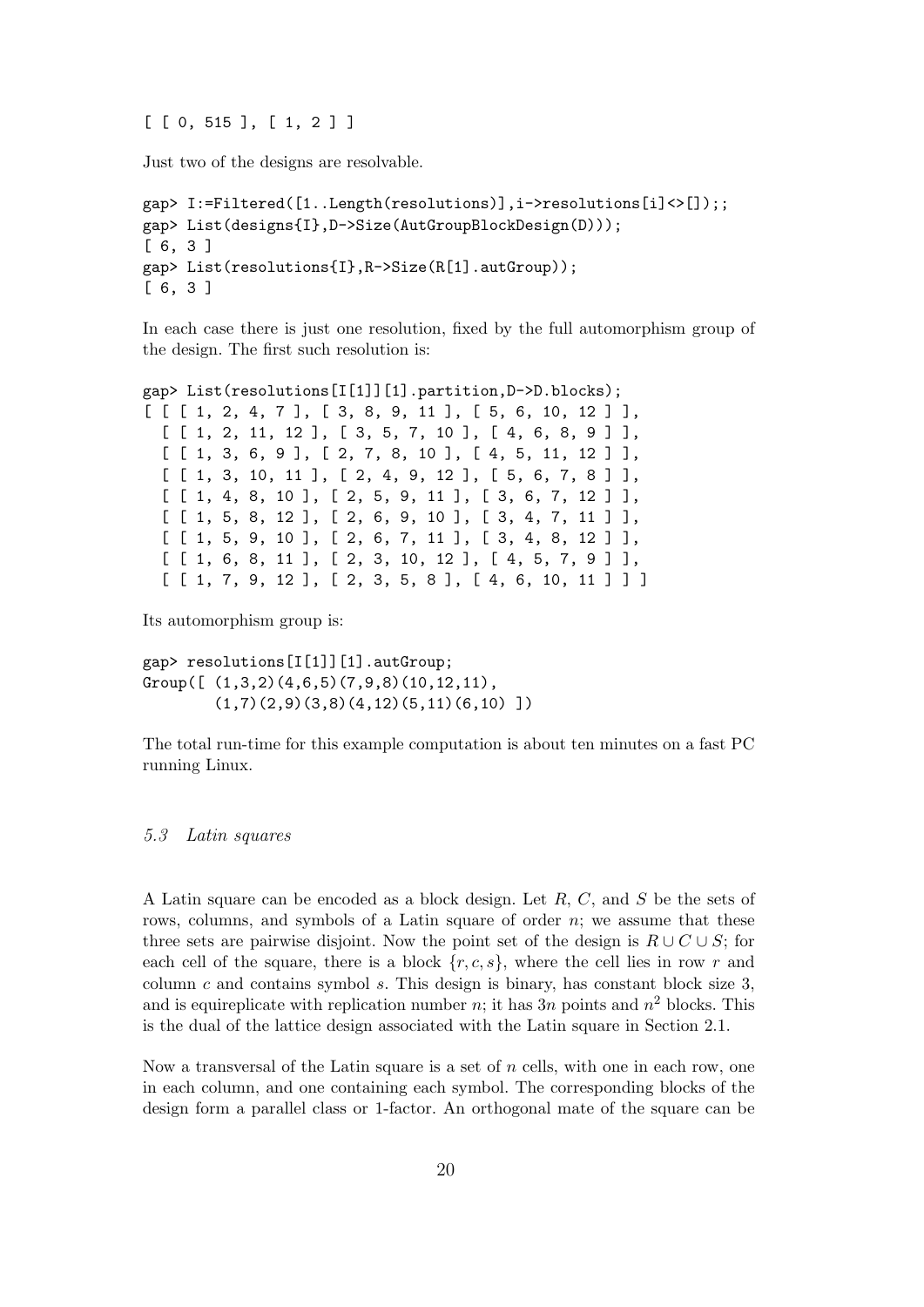$[ [ 0, 515 ], [ 1, 2 ] ]$ 

Just two of the designs are resolvable.

```
gap> I:=Filtered([1..Length(resolutions)],i->resolutions[i]<>[]);;
gap> List(designs{I},D->Size(AutGroupBlockDesign(D)));
[ 6, 3 ]
gap> List(resolutions{I},R->Size(R[1].autGroup));
[ 6, 3 ]
```
In each case there is just one resolution, fixed by the full automorphism group of the design. The first such resolution is:

```
gap> List(resolutions[I[1]][1].partition,D->D.blocks);
[ [ [ 1, 2, 4, 7 ], [ 3, 8, 9, 11 ], [ 5, 6, 10, 12 ] ],
 [ [ 1, 2, 11, 12 ], [ 3, 5, 7, 10 ], [ 4, 6, 8, 9 ] ],
  [ [ 1, 3, 6, 9 ], [ 2, 7, 8, 10 ], [ 4, 5, 11, 12 ] ],
  [ [ 1, 3, 10, 11 ], [ 2, 4, 9, 12 ], [ 5, 6, 7, 8 ] ],
  [ [ 1, 4, 8, 10 ], [ 2, 5, 9, 11 ], [ 3, 6, 7, 12 ] ],
  [ [ 1, 5, 8, 12 ], [ 2, 6, 9, 10 ], [ 3, 4, 7, 11 ] ],[ [ 1, 5, 9, 10 ], [ 2, 6, 7, 11 ], [ 3, 4, 8, 12 ] ],
  [ [ 1, 6, 8, 11 ], [ 2, 3, 10, 12 ], [ 4, 5, 7, 9 ] ],
  [ [ 1, 7, 9, 12 ], [ 2, 3, 5, 8 ], [ 4, 6, 10, 11 ] ] ]
```
Its automorphism group is:

```
gap> resolutions[I[1]][1].autGroup;
Group([ (1,3,2)(4,6,5)(7,9,8)(10,12,11),(1,7)(2,9)(3,8)(4,12)(5,11)(6,10)]
```
The total run-time for this example computation is about ten minutes on a fast PC running Linux.

#### 5.3 Latin squares

A Latin square can be encoded as a block design. Let R, C, and S be the sets of rows, columns, and symbols of a Latin square of order  $n$ ; we assume that these three sets are pairwise disjoint. Now the point set of the design is  $R \cup C \cup S$ ; for each cell of the square, there is a block  $\{r, c, s\}$ , where the cell lies in row r and column  $c$  and contains symbol  $s$ . This design is binary, has constant block size 3, and is equireplicate with replication number n; it has  $3n$  points and  $n^2$  blocks. This is the dual of the lattice design associated with the Latin square in Section 2.1.

Now a transversal of the Latin square is a set of  $n$  cells, with one in each row, one in each column, and one containing each symbol. The corresponding blocks of the design form a parallel class or 1-factor. An orthogonal mate of the square can be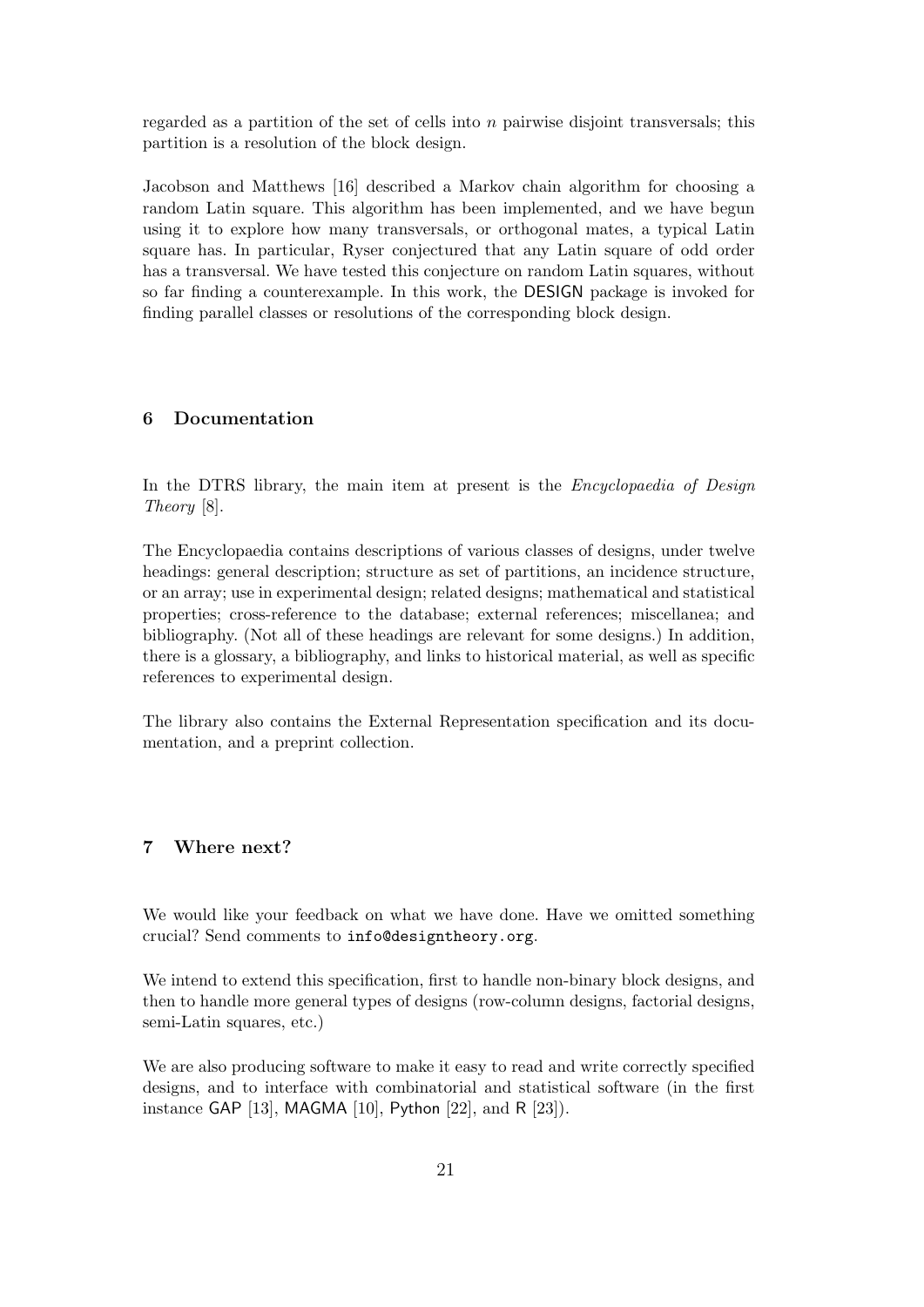regarded as a partition of the set of cells into n pairwise disjoint transversals; this partition is a resolution of the block design.

Jacobson and Matthews [16] described a Markov chain algorithm for choosing a random Latin square. This algorithm has been implemented, and we have begun using it to explore how many transversals, or orthogonal mates, a typical Latin square has. In particular, Ryser conjectured that any Latin square of odd order has a transversal. We have tested this conjecture on random Latin squares, without so far finding a counterexample. In this work, the DESIGN package is invoked for finding parallel classes or resolutions of the corresponding block design.

## 6 Documentation

In the DTRS library, the main item at present is the *Encyclopaedia of Design* Theory [8].

The Encyclopaedia contains descriptions of various classes of designs, under twelve headings: general description; structure as set of partitions, an incidence structure, or an array; use in experimental design; related designs; mathematical and statistical properties; cross-reference to the database; external references; miscellanea; and bibliography. (Not all of these headings are relevant for some designs.) In addition, there is a glossary, a bibliography, and links to historical material, as well as specific references to experimental design.

The library also contains the External Representation specification and its documentation, and a preprint collection.

## 7 Where next?

We would like your feedback on what we have done. Have we omitted something crucial? Send comments to info@designtheory.org.

We intend to extend this specification, first to handle non-binary block designs, and then to handle more general types of designs (row-column designs, factorial designs, semi-Latin squares, etc.)

We are also producing software to make it easy to read and write correctly specified designs, and to interface with combinatorial and statistical software (in the first instance GAP [13], MAGMA [10], Python [22], and R [23]).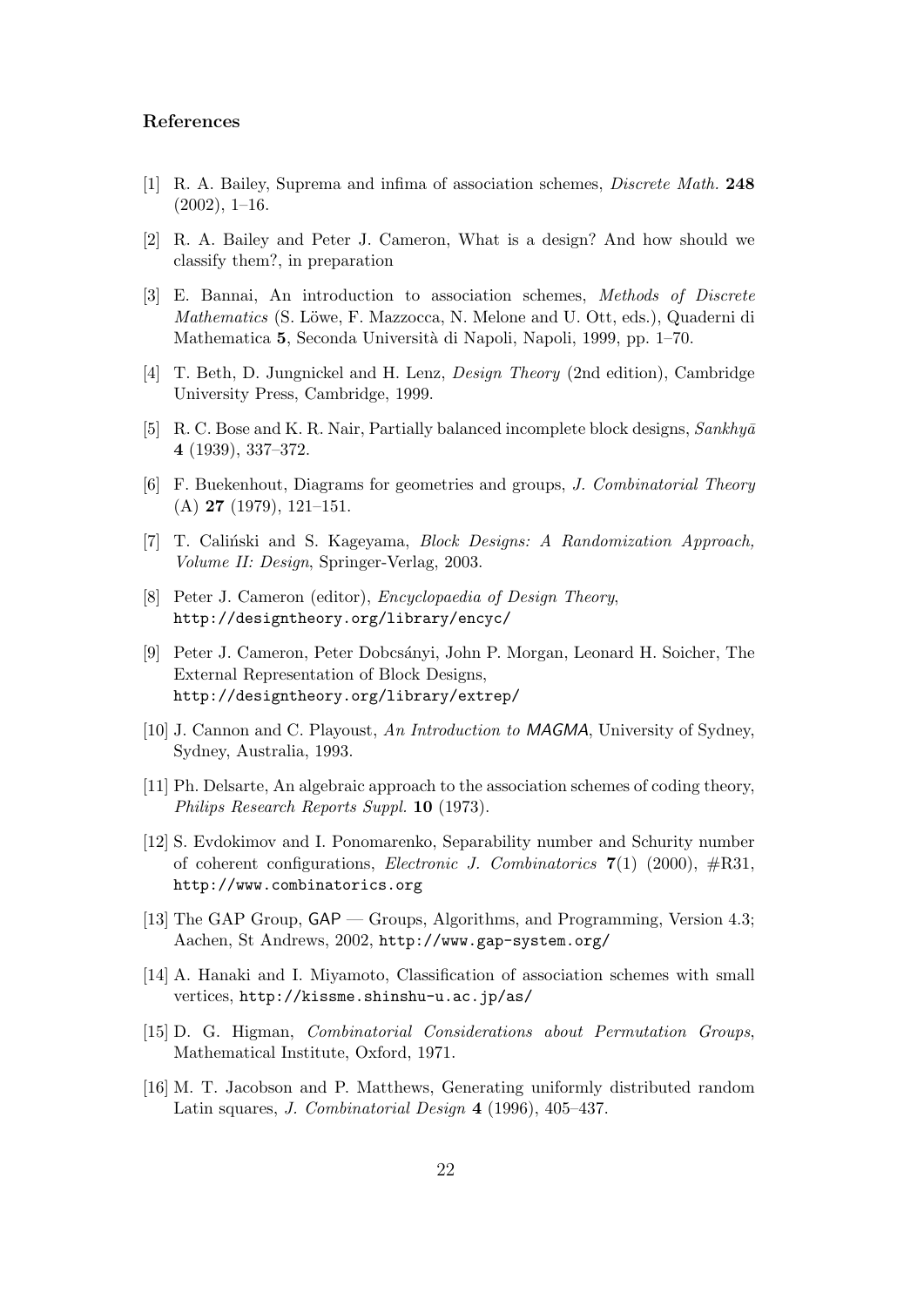### References

- [1] R. A. Bailey, Suprema and infima of association schemes, Discrete Math. 248  $(2002), 1-16.$
- [2] R. A. Bailey and Peter J. Cameron, What is a design? And how should we classify them?, in preparation
- [3] E. Bannai, An introduction to association schemes, Methods of Discrete Mathematics (S. Löwe, F. Mazzocca, N. Melone and U. Ott, eds.), Quaderni di Mathematica 5, Seconda Università di Napoli, Napoli, 1999, pp. 1–70.
- [4] T. Beth, D. Jungnickel and H. Lenz, Design Theory (2nd edition), Cambridge University Press, Cambridge, 1999.
- [5] R. C. Bose and K. R. Nair, Partially balanced incomplete block designs,  $Sankh y\bar{a}$ 4 (1939), 337–372.
- [6] F. Buekenhout, Diagrams for geometries and groups, J. Combinatorial Theory (A) 27 (1979), 121–151.
- [7] T. Calinski and S. Kageyama, *Block Designs: A Randomization Approach*, Volume II: Design, Springer-Verlag, 2003.
- [8] Peter J. Cameron (editor), Encyclopaedia of Design Theory, http://designtheory.org/library/encyc/
- [9] Peter J. Cameron, Peter Dobcs´anyi, John P. Morgan, Leonard H. Soicher, The External Representation of Block Designs, http://designtheory.org/library/extrep/
- [10] J. Cannon and C. Playoust, An Introduction to MAGMA, University of Sydney, Sydney, Australia, 1993.
- [11] Ph. Delsarte, An algebraic approach to the association schemes of coding theory, Philips Research Reports Suppl. 10 (1973).
- [12] S. Evdokimov and I. Ponomarenko, Separability number and Schurity number of coherent configurations, *Electronic J. Combinatorics*  $7(1)$  (2000),  $\#R31$ , http://www.combinatorics.org
- [13] The GAP Group, GAP Groups, Algorithms, and Programming, Version 4.3; Aachen, St Andrews, 2002, http://www.gap-system.org/
- [14] A. Hanaki and I. Miyamoto, Classification of association schemes with small vertices, http://kissme.shinshu-u.ac.jp/as/
- [15] D. G. Higman, Combinatorial Considerations about Permutation Groups, Mathematical Institute, Oxford, 1971.
- [16] M. T. Jacobson and P. Matthews, Generating uniformly distributed random Latin squares, J. Combinatorial Design 4 (1996), 405–437.